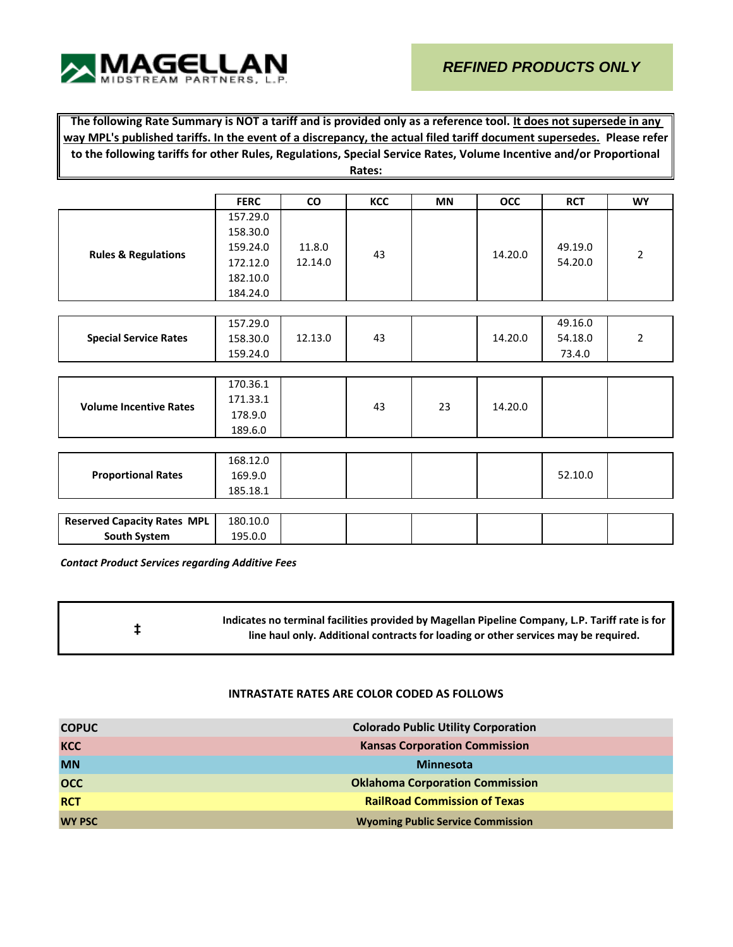

**The following Rate Summary is NOT a tariff and is provided only as a reference tool. It does not supersede in any way MPL's published tariffs. In the event of a discrepancy, the actual filed tariff document supersedes. Please refer to the following tariffs for other Rules, Regulations, Special Service Rates, Volume Incentive and/or Proportional Rates:**

|                                    | <b>FERC</b> | CO      | KCC | <b>MN</b> | <b>OCC</b> | <b>RCT</b> | <b>WY</b>      |
|------------------------------------|-------------|---------|-----|-----------|------------|------------|----------------|
|                                    | 157.29.0    |         |     |           |            |            |                |
|                                    | 158.30.0    |         |     |           |            |            |                |
|                                    | 159.24.0    | 11.8.0  |     |           |            | 49.19.0    |                |
| <b>Rules &amp; Regulations</b>     | 172.12.0    | 12.14.0 | 43  |           | 14.20.0    | 54.20.0    | $\overline{2}$ |
|                                    | 182.10.0    |         |     |           |            |            |                |
|                                    | 184.24.0    |         |     |           |            |            |                |
|                                    |             |         |     |           |            |            |                |
|                                    | 157.29.0    |         |     |           |            | 49.16.0    |                |
|                                    |             | 12.13.0 | 43  |           | 14.20.0    | 54.18.0    | $\overline{2}$ |
| <b>Special Service Rates</b>       | 158.30.0    |         |     |           |            |            |                |
|                                    | 159.24.0    |         |     |           |            | 73.4.0     |                |
|                                    |             |         |     |           |            |            |                |
|                                    | 170.36.1    |         |     |           |            |            |                |
| <b>Volume Incentive Rates</b>      | 171.33.1    |         | 43  | 23        | 14.20.0    |            |                |
|                                    | 178.9.0     |         |     |           |            |            |                |
|                                    | 189.6.0     |         |     |           |            |            |                |
|                                    |             |         |     |           |            |            |                |
|                                    | 168.12.0    |         |     |           |            |            |                |
| <b>Proportional Rates</b>          | 169.9.0     |         |     |           |            | 52.10.0    |                |
|                                    | 185.18.1    |         |     |           |            |            |                |
|                                    |             |         |     |           |            |            |                |
| <b>Reserved Capacity Rates MPL</b> | 180.10.0    |         |     |           |            |            |                |
| South System                       | 195.0.0     |         |     |           |            |            |                |

*Contact Product Services regarding Additive Fees*

**‡ Indicates no terminal facilities provided by Magellan Pipeline Company, L.P. Tariff rate is for line haul only. Additional contracts for loading or other services may be required.**

## **INTRASTATE RATES ARE COLOR CODED AS FOLLOWS**

| <b>COPUC</b>  | <b>Colorado Public Utility Corporation</b> |
|---------------|--------------------------------------------|
| <b>KCC</b>    | <b>Kansas Corporation Commission</b>       |
| <b>MN</b>     | <b>Minnesota</b>                           |
| <b>OCC</b>    | <b>Oklahoma Corporation Commission</b>     |
| <b>RCT</b>    | <b>RailRoad Commission of Texas</b>        |
| <b>WY PSC</b> | <b>Wyoming Public Service Commission</b>   |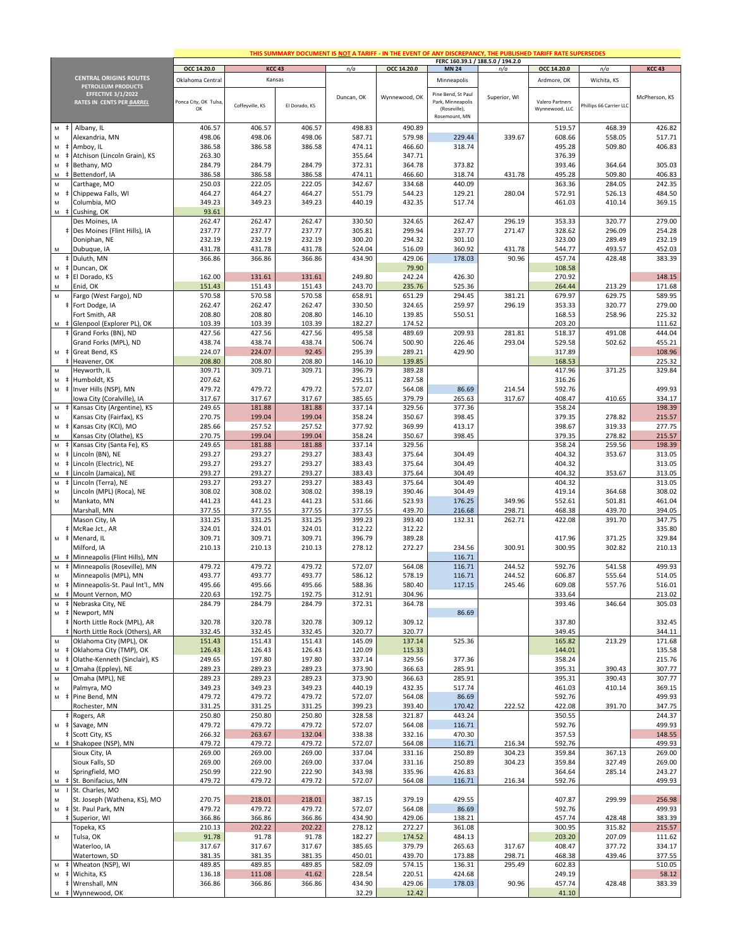|                                                                                                            |                                                                  | THIS SUMMARY DOCUMENT IS NOT A TARIFF - IN THE EVENT OF ANY DISCREPANCY, THE PUBLISHED TARIFF RATE SUPERSEDES<br>FERC 160.39.1 / 188.5.0 / 194.2.0 |                  |                  |                  |                  |                                         |                  |                  |                        |                  |
|------------------------------------------------------------------------------------------------------------|------------------------------------------------------------------|----------------------------------------------------------------------------------------------------------------------------------------------------|------------------|------------------|------------------|------------------|-----------------------------------------|------------------|------------------|------------------------|------------------|
|                                                                                                            |                                                                  | OCC 14.20.0                                                                                                                                        |                  | <b>KCC 43</b>    | n/a              | OCC 14.20.0      | <b>MN 24</b>                            | n/a              | OCC 14.20.0      | n/a                    | <b>KCC 43</b>    |
|                                                                                                            | <b>CENTRAL ORIGINS ROUTES</b>                                    | Oklahoma Central                                                                                                                                   |                  | Kansas           |                  |                  | Minneapolis                             |                  | Ardmore, OK      | Wichita, KS            |                  |
|                                                                                                            | PETROLEUM PRODUCTS                                               |                                                                                                                                                    |                  |                  |                  |                  |                                         |                  |                  |                        |                  |
|                                                                                                            | EFFECTIVE 3/1/2022<br>RATES IN CENTS PER BARREL                  | Ponca City, OK Tulsa,                                                                                                                              |                  |                  | Duncan, OK       | Wynnewood, OK    | Pine Bend, St Paul<br>Park, Minneapolis | Superior, WI     | Valero Partners  |                        | McPherson, KS    |
|                                                                                                            |                                                                  | OK                                                                                                                                                 | Coffeyville, KS  | El Dorado, KS    |                  |                  | (Roseville),                            |                  | Wynnewood, LLC   | hillips 66 Carrier LLC |                  |
|                                                                                                            |                                                                  |                                                                                                                                                    |                  |                  |                  |                  | Rosemount, MN                           |                  |                  |                        |                  |
| $\ddagger$<br>M                                                                                            | Albany, IL                                                       | 406.57                                                                                                                                             | 406.57           | 406.57           | 498.83           | 490.89           |                                         |                  | 519.57           | 468.39                 | 426.82           |
| M                                                                                                          | Alexandria, MN                                                   | 498.06                                                                                                                                             | 498.06           | 498.06           | 587.71           | 579.98           | 229.44                                  | 339.67           | 608.66           | 558.05                 | 517.71           |
| M<br>$\ddagger$<br>M<br>$\ddagger$                                                                         | Amboy, IL<br>Atchison (Lincoln Grain), KS                        | 386.58<br>263.30                                                                                                                                   | 386.58           | 386.58           | 474.11<br>355.64 | 466.60<br>347.71 | 318.74                                  |                  | 495.28<br>376.39 | 509.80                 | 406.83           |
| ${\sf M}$<br>$\pm$                                                                                         | Bethany, MO                                                      | 284.79                                                                                                                                             | 284.79           | 284.79           | 372.31           | 364.78           | 373.82                                  |                  | 393.46           | 364.64                 | 305.03           |
| ${\sf M}$<br>$\ddagger$                                                                                    | Bettendorf, IA                                                   | 386.58                                                                                                                                             | 386.58           | 386.58           | 474.11           | 466.60           | 318.74                                  | 431.78           | 495.28           | 509.80                 | 406.83           |
| ${\sf M}$                                                                                                  | Carthage, MO                                                     | 250.03                                                                                                                                             | 222.05           | 222.05           | 342.67           | 334.68           | 440.09                                  |                  | 363.36           | 284.05                 | 242.35           |
| M<br>$\ddagger$                                                                                            | Chippewa Falls, WI                                               | 464.27                                                                                                                                             | 464.27           | 464.27           | 551.79           | 544.23           | 129.21                                  | 280.04           | 572.91           | 526.13                 | 484.50           |
| ${\sf M}$                                                                                                  | Columbia, MO                                                     | 349.23                                                                                                                                             | 349.23           | 349.23           | 440.19           | 432.35           | 517.74                                  |                  | 461.03           | 410.14                 | 369.15           |
|                                                                                                            | M # Cushing, OK<br>Des Moines, IA                                | 93.61<br>262.47                                                                                                                                    | 262.47           | 262.47           | 330.50           | 324.65           | 262.47                                  | 296.19           | 353.33           | 320.77                 | 279.00           |
|                                                                                                            | # Des Moines (Flint Hills), IA                                   | 237.77                                                                                                                                             | 237.77           | 237.77           | 305.81           | 299.94           | 237.77                                  | 271.47           | 328.62           | 296.09                 | 254.28           |
|                                                                                                            | Doniphan, NE                                                     | 232.19                                                                                                                                             | 232.19           | 232.19           | 300.20           | 294.32           | 301.10                                  |                  | 323.00           | 289.49                 | 232.19           |
| M                                                                                                          | Dubuque, IA                                                      | 431.78                                                                                                                                             | 431.78           | 431.78           | 524.04           | 516.09           | 360.92                                  | 431.78           | 544.77           | 493.57                 | 452.03           |
|                                                                                                            | # Duluth, MN                                                     | 366.86                                                                                                                                             | 366.86           | 366.86           | 434.90           | 429.06           | 178.03                                  | 90.96            | 457.74           | 428.48                 | 383.39           |
| M                                                                                                          | # Duncan, OK                                                     |                                                                                                                                                    |                  |                  |                  | 79.90            |                                         |                  | 108.58           |                        |                  |
| ${\sf M}$                                                                                                  | # El Dorado, KS                                                  | 162.00                                                                                                                                             | 131.61           | 131.61           | 249.80           | 242.24           | 426.30                                  |                  | 270.92           |                        | 148.15           |
| M<br>$\mathsf{M}$                                                                                          | Enid, OK<br>Fargo (West Fargo), ND                               | 151.43<br>570.58                                                                                                                                   | 151.43<br>570.58 | 151.43<br>570.58 | 243.70<br>658.91 | 235.76<br>651.29 | 525.36<br>294.45                        | 381.21           | 264.44<br>679.97 | 213.29<br>629.75       | 171.68<br>589.95 |
|                                                                                                            | # Fort Dodge, IA                                                 | 262.47                                                                                                                                             | 262.47           | 262.47           | 330.50           | 324.65           | 259.97                                  | 296.19           | 353.33           | 320.77                 | 279.00           |
|                                                                                                            | Fort Smith, AR                                                   | 208.80                                                                                                                                             | 208.80           | 208.80           | 146.10           | 139.85           | 550.51                                  |                  | 168.53           | 258.96                 | 225.32           |
|                                                                                                            | M # Glenpool (Explorer PL), OK                                   | 103.39                                                                                                                                             | 103.39           | 103.39           | 182.27           | 174.52           |                                         |                  | 203.20           |                        | 111.62           |
|                                                                                                            | Grand Forks (BN), ND                                             | 427.56                                                                                                                                             | 427.56           | 427.56           | 495.58           | 489.69           | 209.93                                  | 281.81           | 518.37           | 491.08                 | 444.04           |
|                                                                                                            | Grand Forks (MPL), ND                                            | 438.74                                                                                                                                             | 438.74           | 438.74           | 506.74           | 500.90           | 226.46                                  | 293.04           | 529.58           | 502.62                 | 455.21           |
|                                                                                                            | M # Great Bend, KS<br># Heavener, OK                             | 224.07<br>208.80                                                                                                                                   | 224.07<br>208.80 | 92.45<br>208.80  | 295.39<br>146.10 | 289.21<br>139.85 | 429.90                                  |                  | 317.89<br>168.53 |                        | 108.96<br>225.32 |
| M                                                                                                          | Heyworth, IL                                                     | 309.71                                                                                                                                             | 309.71           | 309.71           | 396.79           | 389.28           |                                         |                  | 417.96           | 371.25                 | 329.84           |
| ${\sf M}$                                                                                                  | # Humboldt, KS                                                   | 207.62                                                                                                                                             |                  |                  | 295.11           | 287.58           |                                         |                  | 316.26           |                        |                  |
| ${\sf M}$                                                                                                  | # Inver Hills (NSP), MN                                          | 479.72                                                                                                                                             | 479.72           | 479.72           | 572.07           | 564.08           | 86.69                                   | 214.54           | 592.76           |                        | 499.93           |
|                                                                                                            | Iowa City (Coralville), IA                                       | 317.67                                                                                                                                             | 317.67           | 317.67           | 385.65           | 379.79           | 265.63                                  | 317.67           | 408.47           | 410.65                 | 334.17           |
| ${\sf M}$<br>$\pm$                                                                                         | Kansas City (Argentine), KS                                      | 249.65                                                                                                                                             | 181.88           | 181.88           | 337.14           | 329.56           | 377.36                                  |                  | 358.24           |                        | 198.39           |
| ${\sf M}$<br>${\sf M}$<br>$\pm$                                                                            | Kansas City (Fairfax), KS<br>Kansas City (KCI), MO               | 270.75<br>285.66                                                                                                                                   | 199.04<br>257.52 | 199.04<br>257.52 | 358.24<br>377.92 | 350.67<br>369.99 | 398.45<br>413.17                        |                  | 379.35<br>398.67 | 278.82<br>319.33       | 215.57<br>277.75 |
| M                                                                                                          | Kansas City (Olathe), KS                                         | 270.75                                                                                                                                             | 199.04           | 199.04           | 358.24           | 350.67           | 398.45                                  |                  | 379.35           | 278.82                 | 215.57           |
| ${\sf M}$<br>$\ddagger$                                                                                    | Kansas City (Santa Fe), KS                                       | 249.65                                                                                                                                             | 181.88           | 181.88           | 337.14           | 329.56           |                                         |                  | 358.24           | 259.56                 | 198.39           |
| ${\sf M}$                                                                                                  | # Lincoln (BN), NE                                               | 293.27                                                                                                                                             | 293.27           | 293.27           | 383.43           | 375.64           | 304.49                                  |                  | 404.32           | 353.67                 | 313.05           |
| ${\sf M}$                                                                                                  | # Lincoln (Electric), NE                                         | 293.27                                                                                                                                             | 293.27           | 293.27           | 383.43           | 375.64           | 304.49                                  |                  | 404.32           |                        | 313.05           |
| M<br>$\ddagger$                                                                                            | Lincoln (Jamaica), NE                                            | 293.27                                                                                                                                             | 293.27           | 293.27           | 383.43           | 375.64           | 304.49                                  |                  | 404.32           | 353.67                 | 313.05           |
| ${\sf M}$<br>$\ddagger$<br>${\sf M}$                                                                       | Lincoln (Terra), NE                                              | 293.27<br>308.02                                                                                                                                   | 293.27<br>308.02 | 293.27<br>308.02 | 383.43<br>398.19 | 375.64<br>390.46 | 304.49<br>304.49                        |                  | 404.32<br>419.14 | 364.68                 | 313.05<br>308.02 |
| M                                                                                                          | Lincoln (MPL) (Roca), NE<br>Mankato, MN                          | 441.23                                                                                                                                             | 441.23           | 441.23           | 531.66           | 523.93           | 176.25                                  | 349.96           | 552.61           | 501.81                 | 461.04           |
|                                                                                                            | Marshall, MN                                                     | 377.55                                                                                                                                             | 377.55           | 377.55           | 377.55           | 439.70           | 216.68                                  | 298.71           | 468.38           | 439.70                 | 394.05           |
|                                                                                                            | Mason City, IA                                                   | 331.25                                                                                                                                             | 331.25           | 331.25           | 399.23           | 393.40           | 132.31                                  | 262.71           | 422.08           | 391.70                 | 347.75           |
|                                                                                                            | # McRae Jct., AR                                                 | 324.01                                                                                                                                             | 324.01           | 324.01           | 312.22           | 312.22           |                                         |                  |                  |                        | 335.80           |
|                                                                                                            | M # Menard, IL                                                   | 309.71                                                                                                                                             | 309.71           | 309.71           | 396.79           | 389.28           |                                         |                  | 417.96           | 371.25                 | 329.84           |
|                                                                                                            | Milford, IA                                                      | 210.13                                                                                                                                             | 210.13           | 210.13           | 278.12           | 272.27           | 234.56<br>116.71                        | 300.91           | 300.95           | 302.82                 | 210.13           |
| $\ddagger$<br>M                                                                                            | M # Minneapolis (Flint Hills), MN<br>Minneapolis (Roseville), MN | 479.72                                                                                                                                             | 479.72           | 479.72           | 572.07           | 564.08           | 116.71                                  | 244.52           | 592.76           | 541.58                 | 499.93           |
| ${\sf M}$                                                                                                  | Minneapolis (MPL), MN                                            | 493.77                                                                                                                                             | 493.77           | 493.77           | 586.12           | 578.19           | 116.71                                  | 244.52           | 606.87           | 555.64                 | 514.05           |
|                                                                                                            | M # Minneapolis-St. Paul Int'l., MN                              | 495.66                                                                                                                                             | 495.66           | 495.66           | 588.36           | 580.40           | 117.15                                  | 245.46           | 609.08           | 557.76                 | 516.01           |
|                                                                                                            | M # Mount Vernon, MO                                             | 220.63                                                                                                                                             | 192.75           | 192.75           | 312.91           | 304.96           |                                         |                  | 333.64           |                        | 213.02           |
|                                                                                                            | M # Nebraska City, NE                                            | 284.79                                                                                                                                             | 284.79           | 284.79           | 372.31           | 364.78           |                                         |                  | 393.46           | 346.64                 | 305.03           |
|                                                                                                            | M # Newport, MN<br># North Little Rock (MPL), AR                 | 320.78                                                                                                                                             | 320.78           | 320.78           | 309.12           | 309.12           | 86.69                                   |                  | 337.80           |                        | 332.45           |
|                                                                                                            | North Little Rock (Others), AR<br>$\pm$                          | 332.45                                                                                                                                             | 332.45           | 332.45           | 320.77           | 320.77           |                                         |                  | 349.45           |                        | 344.11           |
| M                                                                                                          | Oklahoma City (MPL), OK                                          | 151.43                                                                                                                                             | 151.43           | 151.43           | 145.09           | 137.14           | 525.36                                  |                  | 165.82           | 213.29                 | 171.68           |
| M                                                                                                          | ‡ Oklahoma City (TMP), OK                                        | 126.43                                                                                                                                             | 126.43           | 126.43           | 120.09           | 115.33           |                                         |                  | 144.01           |                        | 135.58           |
| ${\sf M}$                                                                                                  | # Olathe-Kenneth (Sinclair), KS                                  | 249.65                                                                                                                                             | 197.80           | 197.80           | 337.14           | 329.56           | 377.36                                  |                  | 358.24           |                        | 215.76           |
| M                                                                                                          | ‡ Omaha (Eppley), NE                                             | 289.23                                                                                                                                             | 289.23           | 289.23           | 373.90           | 366.63           | 285.91                                  |                  | 395.31           | 390.43                 | 307.77           |
| ${\sf M}$                                                                                                  | Omaha (MPL), NE                                                  | 289.23                                                                                                                                             | 289.23           | 289.23           | 373.90           | 366.63           | 285.91                                  |                  | 395.31           | 390.43                 | 307.77           |
| ${\sf M}$                                                                                                  | Palmyra, MO<br>M # Pine Bend, MN                                 | 349.23<br>479.72                                                                                                                                   | 349.23<br>479.72 | 349.23<br>479.72 | 440.19<br>572.07 | 432.35<br>564.08 | 517.74<br>86.69                         |                  | 461.03<br>592.76 | 410.14                 | 369.15<br>499.93 |
|                                                                                                            | Rochester, MN                                                    | 331.25                                                                                                                                             | 331.25           | 331.25           | 399.23           | 393.40           | 170.42                                  | 222.52           | 422.08           | 391.70                 | 347.75           |
|                                                                                                            | ‡ Rogers, AR                                                     | 250.80                                                                                                                                             | 250.80           | 250.80           | 328.58           | 321.87           | 443.24                                  |                  | 350.55           |                        | 244.37           |
|                                                                                                            | M $\neq$ Savage, MN                                              | 479.72                                                                                                                                             | 479.72           | 479.72           | 572.07           | 564.08           | 116.71                                  |                  | 592.76           |                        | 499.93           |
|                                                                                                            | <b>‡ Scott City, KS</b>                                          | 266.32                                                                                                                                             | 263.67           | 132.04           | 338.38           | 332.16           | 470.30                                  |                  | 357.53           |                        | 148.55           |
|                                                                                                            | M # Shakopee (NSP), MN                                           | 479.72                                                                                                                                             | 479.72           | 479.72           | 572.07           | 564.08           | 116.71                                  | 216.34           | 592.76           |                        | 499.93           |
|                                                                                                            | Sioux City, IA<br>Sioux Falls, SD                                | 269.00<br>269.00                                                                                                                                   | 269.00<br>269.00 | 269.00<br>269.00 | 337.04<br>337.04 | 331.16<br>331.16 | 250.89<br>250.89                        | 304.23<br>304.23 | 359.84<br>359.84 | 367.13<br>327.49       | 269.00<br>269.00 |
| M                                                                                                          | Springfield, MO                                                  | 250.99                                                                                                                                             | 222.90           | 222.90           | 343.98           | 335.96           | 426.83                                  |                  | 364.64           | 285.14                 | 243.27           |
| $\mathsf{M}% _{T}=\mathsf{M}_{T}\!\left( a,b\right) ,\ \mathsf{M}_{T}=\mathsf{M}_{T}\!\left( a,b\right) ,$ | # St. Bonifacius, MN                                             | 479.72                                                                                                                                             | 479.72           | 479.72           | 572.07           | 564.08           | 116.71                                  | 216.34           | 592.76           |                        | 499.93           |
| ${\sf M}$                                                                                                  | I St. Charles, MO                                                |                                                                                                                                                    |                  |                  |                  |                  |                                         |                  |                  |                        |                  |
| M                                                                                                          | St. Joseph (Wathena, KS), MO                                     | 270.75                                                                                                                                             | 218.01           | 218.01           | 387.15           | 379.19           | 429.55                                  |                  | 407.87           | 299.99                 | 256.98           |
|                                                                                                            | M # St. Paul Park, MN                                            | 479.72                                                                                                                                             | 479.72           | 479.72           | 572.07           | 564.08           | 86.69                                   |                  | 592.76           |                        | 499.93           |
|                                                                                                            | Superior, WI<br>$\pm$<br>Topeka, KS                              | 366.86<br>210.13                                                                                                                                   | 366.86<br>202.22 | 366.86<br>202.22 | 434.90<br>278.12 | 429.06<br>272.27 | 138.21<br>361.08                        |                  | 457.74<br>300.95 | 428.48<br>315.82       | 383.39<br>215.57 |
| M                                                                                                          | Tulsa, OK                                                        | 91.78                                                                                                                                              | 91.78            | 91.78            | 182.27           | 174.52           | 484.13                                  |                  | 203.20           | 207.09                 | 111.62           |
|                                                                                                            | Waterloo, IA                                                     | 317.67                                                                                                                                             | 317.67           | 317.67           | 385.65           | 379.79           | 265.63                                  | 317.67           | 408.47           | 377.72                 | 334.17           |
|                                                                                                            | Watertown, SD                                                    | 381.35                                                                                                                                             | 381.35           | 381.35           | 450.01           | 439.70           | 173.88                                  | 298.71           | 468.38           | 439.46                 | 377.55           |
|                                                                                                            | M # Wheaton (NSP), WI                                            | 489.85                                                                                                                                             | 489.85           | 489.85           | 582.09           | 574.15           | 136.31                                  | 295.49           | 602.83           |                        | 510.05           |
|                                                                                                            | M # Wichita, KS                                                  | 136.18                                                                                                                                             | 111.08           | 41.62            | 228.54           | 220.51           | 424.68                                  |                  | 249.19           |                        | 58.12            |
|                                                                                                            | # Wrenshall, MN<br>M # Wynnewood, OK                             | 366.86                                                                                                                                             | 366.86           | 366.86           | 434.90<br>32.29  | 429.06<br>12.42  | 178.03                                  | 90.96            | 457.74<br>41.10  | 428.48                 | 383.39           |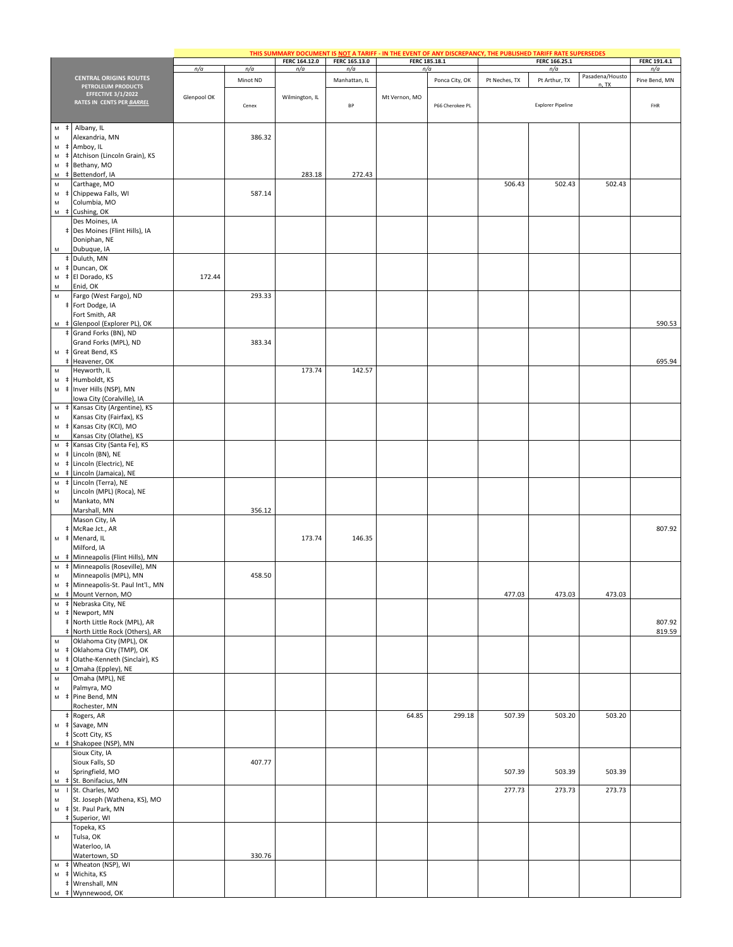|                                                                                                                         |                                                                              |             |          |                      |                      |               | THIS SUMMARY DOCUMENT IS NOT A TARIFF - IN THE EVENT OF ANY DISCREPANCY, THE PUBLISHED TARIFF RATE SUPERSEDES |               |                          |                 |                     |
|-------------------------------------------------------------------------------------------------------------------------|------------------------------------------------------------------------------|-------------|----------|----------------------|----------------------|---------------|---------------------------------------------------------------------------------------------------------------|---------------|--------------------------|-----------------|---------------------|
|                                                                                                                         |                                                                              | n/a         | n/a      | FERC 164.12.0<br>n/a | FERC 165.13.0<br>n/a |               | FERC 185.18.1<br>n/a                                                                                          |               | FERC 166.25.1<br>n/a     |                 | FERC 191.4.1<br>n/a |
|                                                                                                                         | <b>CENTRAL ORIGINS ROUTES</b>                                                |             | Minot ND |                      | Manhattan, IL        |               | Ponca City, OK                                                                                                | Pt Neches, TX | Pt Arthur, TX            | Pasadena/Housto | Pine Bend, MN       |
|                                                                                                                         | PETROLEUM PRODUCTS<br><b>EFFECTIVE 3/1/2022</b><br>RATES IN CENTS PER BARREL | Glenpool OK |          | Wilmington, IL       |                      | Mt Vernon, MO |                                                                                                               |               | <b>Explorer Pipeline</b> | n, TX           |                     |
|                                                                                                                         |                                                                              |             | Cenex    |                      | BP                   |               | P66 Cherokee PL                                                                                               |               |                          |                 | FHR                 |
| ${\sf M}$<br>${\sf M}$                                                                                                  | # Albany, IL<br>Alexandria, MN                                               |             | 386.32   |                      |                      |               |                                                                                                               |               |                          |                 |                     |
| M                                                                                                                       | Amboy, IL                                                                    |             |          |                      |                      |               |                                                                                                               |               |                          |                 |                     |
| ${\sf M}$                                                                                                               | Atchison (Lincoln Grain), KS                                                 |             |          |                      |                      |               |                                                                                                               |               |                          |                 |                     |
| ${\sf M}$<br>ŧ<br>${\sf M}$                                                                                             | Bethany, MO<br>‡ Bettendorf, IA                                              |             |          | 283.18               | 272.43               |               |                                                                                                               |               |                          |                 |                     |
| ${\sf M}$                                                                                                               | Carthage, MO                                                                 |             |          |                      |                      |               |                                                                                                               | 506.43        | 502.43                   | 502.43          |                     |
| M<br>$\pm$                                                                                                              | Chippewa Falls, WI                                                           |             | 587.14   |                      |                      |               |                                                                                                               |               |                          |                 |                     |
| M                                                                                                                       | Columbia, MO                                                                 |             |          |                      |                      |               |                                                                                                               |               |                          |                 |                     |
|                                                                                                                         | M # Cushing, OK<br>Des Moines, IA                                            |             |          |                      |                      |               |                                                                                                               |               |                          |                 |                     |
|                                                                                                                         | # Des Moines (Flint Hills), IA                                               |             |          |                      |                      |               |                                                                                                               |               |                          |                 |                     |
|                                                                                                                         | Doniphan, NE                                                                 |             |          |                      |                      |               |                                                                                                               |               |                          |                 |                     |
| M                                                                                                                       | Dubuque, IA                                                                  |             |          |                      |                      |               |                                                                                                               |               |                          |                 |                     |
| M                                                                                                                       | ‡ Duluth, MN<br># Duncan, OK                                                 |             |          |                      |                      |               |                                                                                                               |               |                          |                 |                     |
| M                                                                                                                       | # El Dorado, KS                                                              | 172.44      |          |                      |                      |               |                                                                                                               |               |                          |                 |                     |
| M                                                                                                                       | Enid, OK                                                                     |             |          |                      |                      |               |                                                                                                               |               |                          |                 |                     |
| M                                                                                                                       | Fargo (West Fargo), ND                                                       |             | 293.33   |                      |                      |               |                                                                                                               |               |                          |                 |                     |
|                                                                                                                         | # Fort Dodge, IA<br>Fort Smith, AR                                           |             |          |                      |                      |               |                                                                                                               |               |                          |                 |                     |
|                                                                                                                         | M # Glenpool (Explorer PL), OK                                               |             |          |                      |                      |               |                                                                                                               |               |                          |                 | 590.53              |
|                                                                                                                         | # Grand Forks (BN), ND                                                       |             |          |                      |                      |               |                                                                                                               |               |                          |                 |                     |
|                                                                                                                         | Grand Forks (MPL), ND                                                        |             | 383.34   |                      |                      |               |                                                                                                               |               |                          |                 |                     |
|                                                                                                                         | M # Great Bend, KS<br>Heavener, OK                                           |             |          |                      |                      |               |                                                                                                               |               |                          |                 | 695.94              |
| M                                                                                                                       | Heyworth, IL                                                                 |             |          | 173.74               | 142.57               |               |                                                                                                               |               |                          |                 |                     |
| M<br>$\ddagger$                                                                                                         | Humboldt, KS                                                                 |             |          |                      |                      |               |                                                                                                               |               |                          |                 |                     |
| ${\sf M}$                                                                                                               | # Inver Hills (NSP), MN                                                      |             |          |                      |                      |               |                                                                                                               |               |                          |                 |                     |
| ${\sf M}$                                                                                                               | Iowa City (Coralville), IA<br># Kansas City (Argentine), KS                  |             |          |                      |                      |               |                                                                                                               |               |                          |                 |                     |
| ${\sf M}$                                                                                                               | Kansas City (Fairfax), KS                                                    |             |          |                      |                      |               |                                                                                                               |               |                          |                 |                     |
| M                                                                                                                       | ‡ Kansas City (KCI), MO                                                      |             |          |                      |                      |               |                                                                                                               |               |                          |                 |                     |
| M<br>$\pm$                                                                                                              | Kansas City (Olathe), KS<br>Kansas City (Santa Fe), KS                       |             |          |                      |                      |               |                                                                                                               |               |                          |                 |                     |
| ${\sf M}$<br>${\sf M}$                                                                                                  | Lincoln (BN), NE                                                             |             |          |                      |                      |               |                                                                                                               |               |                          |                 |                     |
| ${\sf M}$<br>$\pm$                                                                                                      | Lincoln (Electric), NE                                                       |             |          |                      |                      |               |                                                                                                               |               |                          |                 |                     |
| M                                                                                                                       | Lincoln (Jamaica), NE                                                        |             |          |                      |                      |               |                                                                                                               |               |                          |                 |                     |
| $\mathsf{M}% _{T}=\mathsf{M}_{T}\!\left( a,b\right) ,\ \mathsf{M}_{T}=\mathsf{M}_{T}\!\left( a,b\right) ,$<br>${\sf M}$ | # Lincoln (Terra), NE<br>Lincoln (MPL) (Roca), NE                            |             |          |                      |                      |               |                                                                                                               |               |                          |                 |                     |
| ${\sf M}$                                                                                                               | Mankato, MN                                                                  |             |          |                      |                      |               |                                                                                                               |               |                          |                 |                     |
|                                                                                                                         | Marshall, MN                                                                 |             | 356.12   |                      |                      |               |                                                                                                               |               |                          |                 |                     |
|                                                                                                                         | Mason City, IA                                                               |             |          |                      |                      |               |                                                                                                               |               |                          |                 |                     |
| M                                                                                                                       | # McRae Jct., AR<br># Menard, IL                                             |             |          | 173.74               | 146.35               |               |                                                                                                               |               |                          |                 | 807.92              |
|                                                                                                                         | Milford, IA                                                                  |             |          |                      |                      |               |                                                                                                               |               |                          |                 |                     |
|                                                                                                                         | M # Minneapolis (Flint Hills), MN                                            |             |          |                      |                      |               |                                                                                                               |               |                          |                 |                     |
| M                                                                                                                       | # Minneapolis (Roseville), MN<br>Minneapolis (MPL), MN                       |             |          |                      |                      |               |                                                                                                               |               |                          |                 |                     |
| ${\sf M}$<br>M                                                                                                          | # Minneapolis-St. Paul Int'l., MN                                            |             | 458.50   |                      |                      |               |                                                                                                               |               |                          |                 |                     |
|                                                                                                                         | M # Mount Vernon, MO                                                         |             |          |                      |                      |               |                                                                                                               | 477.03        | 473.03                   | 473.03          |                     |
|                                                                                                                         | M # Nebraska City, NE                                                        |             |          |                      |                      |               |                                                                                                               |               |                          |                 |                     |
| M                                                                                                                       | # Newport, MN<br>‡ North Little Rock (MPL), AR                               |             |          |                      |                      |               |                                                                                                               |               |                          |                 |                     |
|                                                                                                                         | ‡ North Little Rock (Others), AR                                             |             |          |                      |                      |               |                                                                                                               |               |                          |                 | 807.92<br>819.59    |
| ${\sf M}$                                                                                                               | Oklahoma City (MPL), OK                                                      |             |          |                      |                      |               |                                                                                                               |               |                          |                 |                     |
| $\mathsf{M}% _{T}=\mathsf{M}_{T}\!\left( a,b\right) ,\ \mathsf{M}_{T}=\mathsf{M}_{T}\!\left( a,b\right) ,$              | # Oklahoma City (TMP), OK                                                    |             |          |                      |                      |               |                                                                                                               |               |                          |                 |                     |
| ${\sf M}$<br>M                                                                                                          | # Olathe-Kenneth (Sinclair), KS<br>‡ Omaha (Eppley), NE                      |             |          |                      |                      |               |                                                                                                               |               |                          |                 |                     |
| ${\sf M}$                                                                                                               | Omaha (MPL), NE                                                              |             |          |                      |                      |               |                                                                                                               |               |                          |                 |                     |
| ${\sf M}$                                                                                                               | Palmyra, MO                                                                  |             |          |                      |                      |               |                                                                                                               |               |                          |                 |                     |
|                                                                                                                         | M # Pine Bend, MN                                                            |             |          |                      |                      |               |                                                                                                               |               |                          |                 |                     |
|                                                                                                                         | Rochester, MN<br>‡ Rogers, AR                                                |             |          |                      |                      | 64.85         | 299.18                                                                                                        | 507.39        | 503.20                   | 503.20          |                     |
|                                                                                                                         | M # Savage, MN                                                               |             |          |                      |                      |               |                                                                                                               |               |                          |                 |                     |
|                                                                                                                         | <b>‡ Scott City, KS</b>                                                      |             |          |                      |                      |               |                                                                                                               |               |                          |                 |                     |
|                                                                                                                         | M # Shakopee (NSP), MN                                                       |             |          |                      |                      |               |                                                                                                               |               |                          |                 |                     |
|                                                                                                                         | Sioux City, IA<br>Sioux Falls, SD                                            |             | 407.77   |                      |                      |               |                                                                                                               |               |                          |                 |                     |
| ${\sf M}$                                                                                                               | Springfield, MO                                                              |             |          |                      |                      |               |                                                                                                               | 507.39        | 503.39                   | 503.39          |                     |
|                                                                                                                         | M # St. Bonifacius, MN                                                       |             |          |                      |                      |               |                                                                                                               |               |                          |                 |                     |
|                                                                                                                         | M I St. Charles, MO                                                          |             |          |                      |                      |               |                                                                                                               | 277.73        | 273.73                   | 273.73          |                     |
| ${\sf M}$<br>$\mathsf{M}% _{T}=\mathsf{M}_{T}\!\left( a,b\right) ,\ \mathsf{M}_{T}=\mathsf{M}_{T}\!\left( a,b\right) ,$ | St. Joseph (Wathena, KS), MO<br># St. Paul Park, MN                          |             |          |                      |                      |               |                                                                                                               |               |                          |                 |                     |
|                                                                                                                         | # Superior, WI                                                               |             |          |                      |                      |               |                                                                                                               |               |                          |                 |                     |
|                                                                                                                         | Topeka, KS                                                                   |             |          |                      |                      |               |                                                                                                               |               |                          |                 |                     |
| M                                                                                                                       | Tulsa, OK                                                                    |             |          |                      |                      |               |                                                                                                               |               |                          |                 |                     |
|                                                                                                                         | Waterloo, IA<br>Watertown, SD                                                |             | 330.76   |                      |                      |               |                                                                                                               |               |                          |                 |                     |
| ${\sf M}$                                                                                                               | # Wheaton (NSP), WI                                                          |             |          |                      |                      |               |                                                                                                               |               |                          |                 |                     |
|                                                                                                                         | M # Wichita, KS                                                              |             |          |                      |                      |               |                                                                                                               |               |                          |                 |                     |
|                                                                                                                         | # Wrenshall, MN                                                              |             |          |                      |                      |               |                                                                                                               |               |                          |                 |                     |
| M                                                                                                                       | # Wynnewood, OK                                                              |             |          |                      |                      |               |                                                                                                               |               |                          |                 |                     |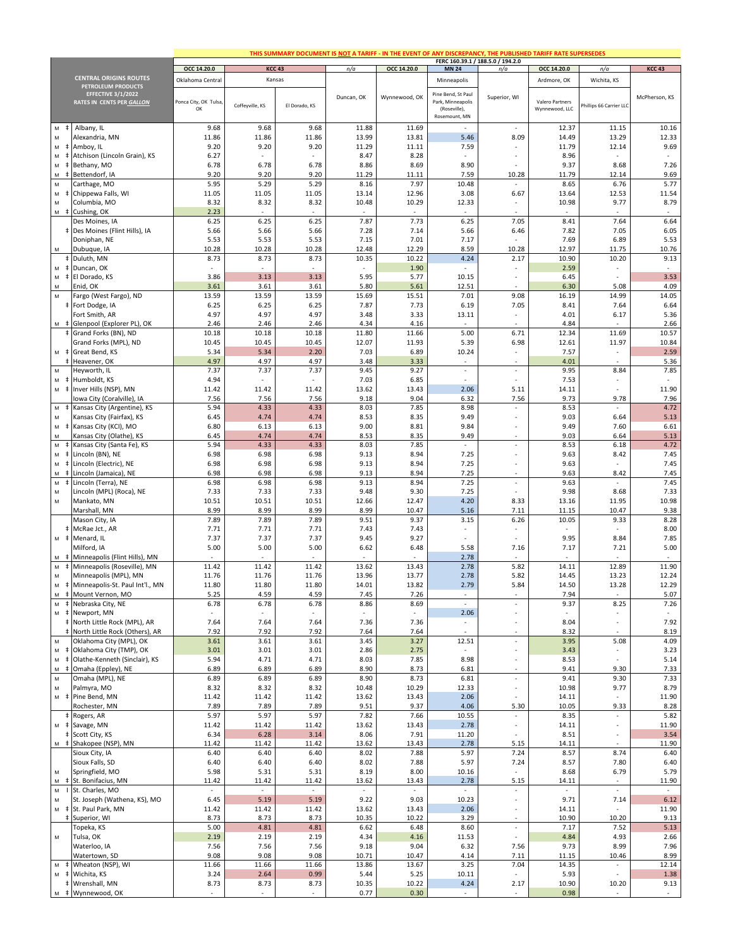|                                                  |                                                                 |                          |                 |               |                |                          | THIS SUMMARY DOCUMENT IS NOT A TARIFF - IN THE EVENT OF ANY DISCREPANCY, THE PUBLISHED TARIFF RATE SUPERSEDES |                                                         |                          |                          |                 |
|--------------------------------------------------|-----------------------------------------------------------------|--------------------------|-----------------|---------------|----------------|--------------------------|---------------------------------------------------------------------------------------------------------------|---------------------------------------------------------|--------------------------|--------------------------|-----------------|
|                                                  |                                                                 | OCC 14.20.0              |                 | <b>KCC 43</b> | n/a            | OCC 14.20.0              | <b>MN 24</b>                                                                                                  | FERC 160.39.1 / 188.5.0 / 194.2.0<br>n/a                | OCC 14.20.0              | n/a                      | <b>KCC 43</b>   |
|                                                  | <b>CENTRAL ORIGINS ROUTES</b>                                   | Oklahoma Central         |                 | Kansas        |                |                          | Minneapolis                                                                                                   |                                                         | Ardmore, OK              | Wichita, KS              |                 |
|                                                  | <b>PETROLEUM PRODUCTS</b>                                       |                          |                 |               |                |                          |                                                                                                               |                                                         |                          |                          |                 |
|                                                  | <b>EFFECTIVE 3/1/2022</b><br>RATES IN CENTS PER GALLON          | Ponca City, OK Tulsa     |                 |               | Duncan, OK     | Wynnewood, OK            | Pine Bend, St Paul<br>Park, Minneapolis                                                                       | Superior, WI                                            | Valero Partners          |                          | McPherson, KS   |
|                                                  |                                                                 | OK                       | Coffeyville, KS | El Dorado, KS |                |                          | (Roseville),                                                                                                  |                                                         | Wynnewood, LLC           | hillips 66 Carrier LLC   |                 |
|                                                  |                                                                 |                          |                 |               |                |                          | Rosemount, MN                                                                                                 |                                                         |                          |                          |                 |
| $\ddagger$<br>M                                  | Albany, IL                                                      | 9.68                     | 9.68            | 9.68          | 11.88          | 11.69                    | $\sim$                                                                                                        | ×                                                       | 12.37                    | 11.15                    | 10.16           |
| M                                                | Alexandria, MN                                                  | 11.86                    | 11.86           | 11.86         | 13.99          | 13.81                    | 5.46                                                                                                          | 8.09                                                    | 14.49                    | 13.29                    | 12.33           |
| M<br>$\overline{\phantom{a}}$<br>M<br>$\ddagger$ | Amboy, IL<br>Atchison (Lincoln Grain), KS                       | 9.20<br>6.27             | 9.20            | 9.20<br>×,    | 11.29<br>8.47  | 11.11<br>8.28            | 7.59                                                                                                          |                                                         | 11.79<br>8.96            | 12.14<br>$\sim$          | 9.69<br>$\sim$  |
| ${\sf M}$<br>$\ddagger$                          | Bethany, MO                                                     | 6.78                     | 6.78            | 6.78          | 8.86           | 8.69                     | 8.90                                                                                                          |                                                         | 9.37                     | 8.68                     | 7.26            |
| ${\sf M}$<br>$\pm$                               | Bettendorf, IA                                                  | 9.20                     | 9.20            | 9.20          | 11.29          | 11.11                    | 7.59                                                                                                          | 10.28                                                   | 11.79                    | 12.14                    | 9.69            |
| M                                                | Carthage, MO                                                    | 5.95                     | 5.29            | 5.29          | 8.16           | 7.97                     | 10.48                                                                                                         |                                                         | 8.65                     | 6.76                     | 5.77            |
| M<br>$\ddagger$                                  | Chippewa Falls, WI                                              | 11.05                    | 11.05           | 11.05         | 13.14          | 12.96                    | 3.08                                                                                                          | 6.67                                                    | 13.64                    | 12.53                    | 11.54           |
| ${\sf M}$                                        | Columbia, MO                                                    | 8.32                     | 8.32            | 8.32          | 10.48          | 10.29                    | 12.33                                                                                                         |                                                         | 10.98                    | 9.77                     | 8.79            |
|                                                  | M # Cushing, OK                                                 | 2.23                     | 6.25            | 6.25          | 7.87           | 7.73                     | 6.25                                                                                                          | 7.05                                                    | 8.41                     | 7.64                     | 6.64            |
|                                                  | Des Moines, IA<br># Des Moines (Flint Hills), IA                | 6.25<br>5.66             | 5.66            | 5.66          | 7.28           | 7.14                     | 5.66                                                                                                          | 6.46                                                    | 7.82                     | 7.05                     | 6.05            |
|                                                  | Doniphan, NE                                                    | 5.53                     | 5.53            | 5.53          | 7.15           | 7.01                     | 7.17                                                                                                          |                                                         | 7.69                     | 6.89                     | 5.53            |
| M                                                | Dubuque, IA                                                     | 10.28                    | 10.28           | 10.28         | 12.48          | 12.29                    | 8.59                                                                                                          | 10.28                                                   | 12.97                    | 11.75                    | 10.76           |
|                                                  | # Duluth, MN                                                    | 8.73                     | 8.73            | 8.73          | 10.35          | 10.22                    | 4.24                                                                                                          | 2.17                                                    | 10.90                    | 10.20                    | 9.13            |
| M                                                | # Duncan, OK                                                    | $\mathcal{L}$            | ÷.              | ÷.            |                | 1.90                     |                                                                                                               |                                                         | 2.59                     |                          | ×.              |
| ${\sf M}$                                        | # El Dorado, KS                                                 | 3.86                     | 3.13            | 3.13          | 5.95           | 5.77                     | 10.15                                                                                                         | $\sim$                                                  | 6.45                     |                          | 3.53            |
| M<br>M                                           | Enid, OK<br>Fargo (West Fargo), ND                              | 3.61<br>13.59            | 3.61<br>13.59   | 3.61<br>13.59 | 5.80<br>15.69  | 5.61<br>15.51            | 12.51<br>7.01                                                                                                 | 9.08                                                    | 6.30<br>16.19            | 5.08<br>14.99            | 4.09<br>14.05   |
|                                                  | # Fort Dodge, IA                                                | 6.25                     | 6.25            | 6.25          | 7.87           | 7.73                     | 6.19                                                                                                          | 7.05                                                    | 8.41                     | 7.64                     | 6.64            |
|                                                  | Fort Smith, AR                                                  | 4.97                     | 4.97            | 4.97          | 3.48           | 3.33                     | 13.11                                                                                                         |                                                         | 4.01                     | 6.17                     | 5.36            |
|                                                  | M $\ddagger$ Glenpool (Explorer PL), OK                         | 2.46                     | 2.46            | 2.46          | 4.34           | 4.16                     | ٠                                                                                                             |                                                         | 4.84                     |                          | 2.66            |
|                                                  | Grand Forks (BN), ND                                            | 10.18                    | 10.18           | 10.18         | 11.80          | 11.66                    | 5.00                                                                                                          | 6.71                                                    | 12.34                    | 11.69                    | 10.57           |
|                                                  | Grand Forks (MPL), ND                                           | 10.45                    | 10.45           | 10.45         | 12.07          | 11.93                    | 5.39                                                                                                          | 6.98                                                    | 12.61                    | 11.97                    | 10.84           |
|                                                  | M $\ddagger$ Great Bend, KS<br>Heavener, OK<br>$\ddagger$       | 5.34<br>4.97             | 5.34<br>4.97    | 2.20<br>4.97  | 7.03<br>3.48   | 6.89<br>3.33             | 10.24<br>$\sim$                                                                                               | $\sim$                                                  | 7.57<br>4.01             | $\overline{\phantom{a}}$ | 2.59<br>5.36    |
| M                                                | Heyworth, IL                                                    | 7.37                     | 7.37            | 7.37          | 9.45           | 9.27                     | $\overline{\phantom{a}}$                                                                                      |                                                         | 9.95                     | 8.84                     | 7.85            |
| M                                                | # Humboldt, KS                                                  | 4.94                     |                 |               | 7.03           | 6.85                     |                                                                                                               |                                                         | 7.53                     |                          |                 |
| ${\sf M}$                                        | ‡ Inver Hills (NSP), MN                                         | 11.42                    | 11.42           | 11.42         | 13.62          | 13.43                    | 2.06                                                                                                          | 5.11                                                    | 14.11                    |                          | 11.90           |
|                                                  | Iowa City (Coralville), IA                                      | 7.56                     | 7.56            | 7.56          | 9.18           | 9.04                     | 6.32                                                                                                          | 7.56                                                    | 9.73                     | 9.78                     | 7.96            |
| ${\sf M}$<br>$\pm$                               | Kansas City (Argentine), KS                                     | 5.94                     | 4.33            | 4.33          | 8.03           | 7.85                     | 8.98                                                                                                          | $\sim$                                                  | 8.53                     | ×.                       | 4.72            |
| ${\sf M}$                                        | Kansas City (Fairfax), KS                                       | 6.45                     | 4.74            | 4.74          | 8.53           | 8.35                     | 9.49                                                                                                          |                                                         | 9.03                     | 6.64                     | 5.13            |
| ${\sf M}$<br>$\pm$<br>M                          | Kansas City (KCI), MO<br>Kansas City (Olathe), KS               | 6.80<br>6.45             | 6.13<br>4.74    | 6.13<br>4.74  | 9.00<br>8.53   | 8.81<br>8.35             | 9.84<br>9.49                                                                                                  | $\sim$                                                  | 9.49<br>9.03             | 7.60<br>6.64             | 6.61<br>5.13    |
| ${\sf M}$<br>$\ddagger$                          | Kansas City (Santa Fe), KS                                      | 5.94                     | 4.33            | 4.33          | 8.03           | 7.85                     | $\overline{\phantom{a}}$                                                                                      |                                                         | 8.53                     | 6.18                     | 4.72            |
| ${\sf M}$<br>$\pm$                               | Lincoln (BN), NE                                                | 6.98                     | 6.98            | 6.98          | 9.13           | 8.94                     | 7.25                                                                                                          |                                                         | 9.63                     | 8.42                     | 7.45            |
| ${\sf M}$<br>$\pm$                               | Lincoln (Electric), NE                                          | 6.98                     | 6.98            | 6.98          | 9.13           | 8.94                     | 7.25                                                                                                          |                                                         | 9.63                     |                          | 7.45            |
| M<br>$\pm$                                       | Lincoln (Jamaica), NE                                           | 6.98                     | 6.98            | 6.98          | 9.13           | 8.94                     | 7.25                                                                                                          |                                                         | 9.63                     | 8.42                     | 7.45            |
| ${\sf M}$<br>$\pm$                               | Lincoln (Terra), NE                                             | 6.98                     | 6.98            | 6.98          | 9.13           | 8.94                     | 7.25                                                                                                          | ×.                                                      | 9.63                     | ×.                       | 7.45            |
| ${\sf M}$<br>${\sf M}$                           | Lincoln (MPL) (Roca), NE<br>Mankato, MN                         | 7.33<br>10.51            | 7.33<br>10.51   | 7.33<br>10.51 | 9.48<br>12.66  | 9.30<br>12.47            | 7.25<br>4.20                                                                                                  | 8.33                                                    | 9.98<br>13.16            | 8.68<br>11.95            | 7.33<br>10.98   |
|                                                  | Marshall, MN                                                    | 8.99                     | 8.99            | 8.99          | 8.99           | 10.47                    | 5.16                                                                                                          | 7.11                                                    | 11.15                    | 10.47                    | 9.38            |
|                                                  | Mason City, IA                                                  | 7.89                     | 7.89            | 7.89          | 9.51           | 9.37                     | 3.15                                                                                                          | 6.26                                                    | 10.05                    | 9.33                     | 8.28            |
|                                                  | # McRae Jct., AR                                                | 7.71                     | 7.71            | 7.71          | 7.43           | 7.43                     |                                                                                                               |                                                         | $\sim$                   |                          | 8.00            |
|                                                  | M # Menard, IL                                                  | 7.37                     | 7.37            | 7.37          | 9.45           | 9.27                     |                                                                                                               |                                                         | 9.95                     | 8.84                     | 7.85            |
|                                                  | Milford, IA                                                     | 5.00                     | 5.00            | 5.00          | 6.62           | 6.48                     | 5.58                                                                                                          | 7.16                                                    | 7.17                     | 7.21                     | 5.00            |
| м ‡<br>M<br>$\ddagger$                           | Minneapolis (Flint Hills), MN                                   | 11.42                    | 11.42           | 11.42         | 13.62          | 13.43                    | 2.78<br>2.78                                                                                                  | 5.82                                                    | 14.11                    | 12.89                    | $\sim$<br>11.90 |
| ${\sf M}$                                        | Minneapolis (Roseville), MN<br>Minneapolis (MPL), MN            | 11.76                    | 11.76           | 11.76         | 13.96          | 13.77                    | 2.78                                                                                                          | 5.82                                                    | 14.45                    | 13.23                    | 12.24           |
|                                                  | # Minneapolis-St. Paul Int'l., MN                               | 11.80                    | 11.80           | 11.80         | 14.01          | 13.82                    | 2.79                                                                                                          | 5.84                                                    | 14.50                    | 13.28                    | 12.29           |
|                                                  | M # Mount Vernon, MO                                            | 5.25                     | 4.59            | 4.59          | 7.45           | 7.26                     |                                                                                                               |                                                         | 7.94                     |                          | 5.07            |
|                                                  | M # Nebraska City, NE                                           | 6.78                     | 6.78            | 6.78          | 8.86           | 8.69                     | $\mathbb{Z}^2$                                                                                                |                                                         | 9.37                     | 8.25                     | 7.26            |
|                                                  | M # Newport, MN                                                 |                          |                 |               |                |                          | 2.06                                                                                                          |                                                         |                          |                          |                 |
|                                                  | # North Little Rock (MPL), AR<br>North Little Rock (Others), AR | 7.64<br>7.92             | 7.64<br>7.92    | 7.64<br>7.92  | 7.36<br>7.64   | 7.36<br>7.64             | $\overline{\phantom{a}}$                                                                                      |                                                         | 8.04<br>8.32             |                          | 7.92            |
| ${\sf M}$                                        | Oklahoma City (MPL), OK                                         | 3.61                     | 3.61            | 3.61          | 3.45           | 3.27                     | 12.51                                                                                                         | ×                                                       | 3.95                     | 5.08                     | 8.19<br>4.09    |
| ${\sf M}$                                        | # Oklahoma City (TMP), OK                                       | 3.01                     | 3.01            | 3.01          | 2.86           | 2.75                     | ٠                                                                                                             |                                                         | 3.43                     |                          | 3.23            |
| ${\sf M}$<br>$\pm$                               | Olathe-Kenneth (Sinclair), KS                                   | 5.94                     | 4.71            | 4.71          | 8.03           | 7.85                     | 8.98                                                                                                          |                                                         | 8.53                     |                          | 5.14            |
| $\pm$<br>M                                       | Omaha (Eppley), NE                                              | 6.89                     | 6.89            | 6.89          | 8.90           | 8.73                     | 6.81                                                                                                          |                                                         | 9.41                     | 9.30                     | 7.33            |
| ${\sf M}$                                        | Omaha (MPL), NE                                                 | 6.89                     | 6.89            | 6.89          | 8.90           | 8.73                     | 6.81                                                                                                          | $\overline{\phantom{a}}$                                | 9.41                     | 9.30                     | 7.33            |
| ${\sf M}$                                        | Palmyra, MO<br>M # Pine Bend, MN                                | 8.32<br>11.42            | 8.32<br>11.42   | 8.32<br>11.42 | 10.48<br>13.62 | 10.29<br>13.43           | 12.33<br>2.06                                                                                                 | $\sim$<br>$\sim$                                        | 10.98<br>14.11           | 9.77                     | 8.79<br>11.90   |
|                                                  | Rochester, MN                                                   | 7.89                     | 7.89            | 7.89          | 9.51           | 9.37                     | 4.06                                                                                                          | 5.30                                                    | 10.05                    | 9.33                     | 8.28            |
|                                                  | ‡ Rogers, AR                                                    | 5.97                     | 5.97            | 5.97          | 7.82           | 7.66                     | 10.55                                                                                                         | $\overline{\phantom{a}}$                                | 8.35                     |                          | 5.82            |
|                                                  | M $\neq$ Savage, MN                                             | 11.42                    | 11.42           | 11.42         | 13.62          | 13.43                    | 2.78                                                                                                          |                                                         | 14.11                    |                          | 11.90           |
|                                                  | # Scott City, KS                                                | 6.34                     | 6.28            | 3.14          | 8.06           | 7.91                     | 11.20                                                                                                         |                                                         | 8.51                     |                          | 3.54            |
|                                                  | M # Shakopee (NSP), MN                                          | 11.42                    | 11.42           | 11.42         | 13.62          | 13.43                    | 2.78                                                                                                          | 5.15                                                    | 14.11                    |                          | 11.90           |
|                                                  | Sioux City, IA                                                  | 6.40                     | 6.40            | 6.40          | 8.02           | 7.88                     | 5.97                                                                                                          | 7.24                                                    | 8.57                     | 8.74                     | 6.40            |
| M                                                | Sioux Falls, SD<br>Springfield, MO                              | 6.40<br>5.98             | 6.40<br>5.31    | 6.40<br>5.31  | 8.02<br>8.19   | 7.88<br>8.00             | 5.97<br>10.16                                                                                                 | 7.24<br>$\overline{\phantom{a}}$                        | 8.57<br>8.68             | 7.80<br>6.79             | 6.40<br>5.79    |
| ${\sf M}$                                        | # St. Bonifacius, MN                                            | 11.42                    | 11.42           | 11.42         | 13.62          | 13.43                    | 2.78                                                                                                          | 5.15                                                    | 14.11                    |                          | 11.90           |
| ${\sf M}$                                        | I St. Charles, MO                                               | $\overline{\phantom{a}}$ | $\sim$          | $\sim$        | $\sim$         | $\overline{\phantom{a}}$ | $\overline{\phantom{a}}$                                                                                      | $\overline{\phantom{a}}$                                | $\overline{\phantom{a}}$ | $\overline{\phantom{a}}$ | $\sim$          |
| M                                                | St. Joseph (Wathena, KS), MO                                    | 6.45                     | 5.19            | 5.19          | 9.22           | 9.03                     | 10.23                                                                                                         | $\overline{\phantom{a}}$                                | 9.71                     | 7.14                     | 6.12            |
| M                                                | # St. Paul Park, MN                                             | 11.42                    | 11.42           | 11.42         | 13.62          | 13.43                    | 2.06                                                                                                          |                                                         | 14.11                    |                          | 11.90           |
| $\ddagger$                                       | Superior, WI                                                    | 8.73                     | 8.73            | 8.73          | 10.35          | 10.22                    | 3.29                                                                                                          |                                                         | 10.90                    | 10.20                    | 9.13            |
| M                                                | Topeka, KS<br>Tulsa, OK                                         | 5.00<br>2.19             | 4.81<br>2.19    | 4.81<br>2.19  | 6.62<br>4.34   | 6.48<br>4.16             | 8.60<br>11.53                                                                                                 | $\mathcal{L}_{\mathcal{A}}$<br>$\overline{\phantom{a}}$ | 7.17<br>4.84             | 7.52<br>4.93             | 5.13<br>2.66    |
|                                                  | Waterloo, IA                                                    | 7.56                     | 7.56            | 7.56          | 9.18           | 9.04                     | 6.32                                                                                                          | 7.56                                                    | 9.73                     | 8.99                     | 7.96            |
|                                                  | Watertown, SD                                                   | 9.08                     | 9.08            | 9.08          | 10.71          | 10.47                    | 4.14                                                                                                          | 7.11                                                    | 11.15                    | 10.46                    | 8.99            |
|                                                  | M # Wheaton (NSP), WI                                           | 11.66                    | 11.66           | 11.66         | 13.86          | 13.67                    | 3.25                                                                                                          | 7.04                                                    | 14.35                    | $\overline{\phantom{a}}$ | 12.14           |
|                                                  | M # Wichita, KS                                                 | 3.24                     | 2.64            | 0.99          | 5.44           | 5.25                     | 10.11                                                                                                         |                                                         | 5.93                     |                          | 1.38            |
|                                                  | # Wrenshall, MN                                                 | 8.73                     | 8.73            | 8.73          | 10.35          | 10.22                    | 4.24                                                                                                          | 2.17                                                    | 10.90                    | 10.20                    | 9.13            |
|                                                  | M # Wynnewood, OK                                               |                          |                 |               | 0.77           | 0.30                     |                                                                                                               |                                                         | 0.98                     |                          |                 |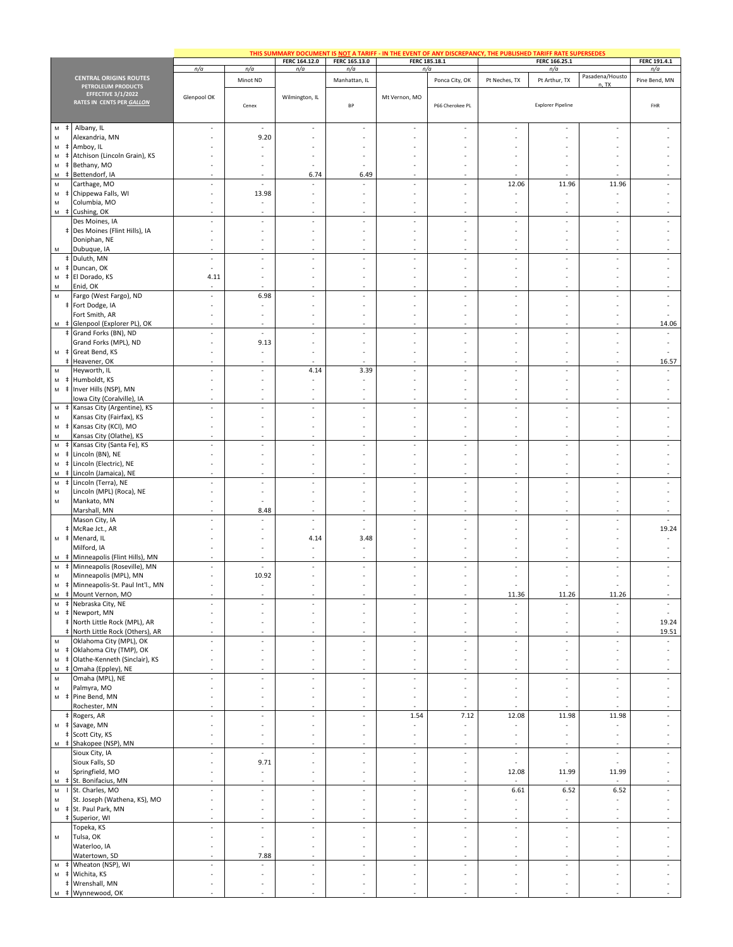|                                                                                                                         |                                                                  |                                                      |                                                      |                                                      |                                                      | THIS SUMMARY DOCUMENT IS NOT A TARIFF - IN THE EVENT OF ANY DISCREPANCY, THE PUBLISHED TARIFF RATE SUPERSEDES |                                            |                                                      |                                                      |                                                      |                                                      |
|-------------------------------------------------------------------------------------------------------------------------|------------------------------------------------------------------|------------------------------------------------------|------------------------------------------------------|------------------------------------------------------|------------------------------------------------------|---------------------------------------------------------------------------------------------------------------|--------------------------------------------|------------------------------------------------------|------------------------------------------------------|------------------------------------------------------|------------------------------------------------------|
|                                                                                                                         |                                                                  | n/a                                                  | n/a                                                  | FERC 164.12.0<br>n/a                                 | FERC 165.13.0<br>n/a                                 |                                                                                                               | FERC 185.18.1<br>n/a                       |                                                      | FERC 166.25.1<br>n/a                                 |                                                      | FERC 191.4.1<br>n/a                                  |
|                                                                                                                         | <b>CENTRAL ORIGINS ROUTES</b>                                    |                                                      | Minot ND                                             |                                                      | Manhattan, IL                                        |                                                                                                               | Ponca City, OK                             | Pt Neches, TX                                        | Pt Arthur, TX                                        | Pasadena/Housto                                      | Pine Bend, MN                                        |
|                                                                                                                         | PETROLEUM PRODUCTS<br>EFFECTIVE 3/1/2022                         | Glenpool OK                                          |                                                      | Wilmington, IL                                       |                                                      | Mt Vernon, MO                                                                                                 |                                            |                                                      |                                                      | n, TX                                                |                                                      |
|                                                                                                                         | RATES IN CENTS PER GALLON                                        |                                                      | Cenex                                                |                                                      | BP                                                   |                                                                                                               | P66 Cherokee PL                            |                                                      | <b>Explorer Pipeline</b>                             |                                                      | FHR                                                  |
| ${\sf M}$<br>$\pm$                                                                                                      | Albany, IL                                                       | $\sim$                                               | $\sim$                                               | ٠                                                    | ٠                                                    | $\sim$                                                                                                        | $\sim$                                     | $\overline{\phantom{a}}$                             |                                                      | $\sim$                                               |                                                      |
| ${\sf M}$<br>${\sf M}$                                                                                                  | Alexandria, MN<br>Amboy, IL                                      |                                                      | 9.20                                                 |                                                      |                                                      | ٠                                                                                                             |                                            |                                                      |                                                      |                                                      |                                                      |
| ${\sf M}$                                                                                                               | Atchison (Lincoln Grain), KS                                     |                                                      |                                                      |                                                      |                                                      |                                                                                                               |                                            |                                                      |                                                      |                                                      |                                                      |
| ${\sf M}$<br>${\sf M}$<br>$\pm$                                                                                         | Bethany, MO<br>Bettendorf, IA                                    | $\sim$                                               |                                                      | 6.74                                                 | $\sim$<br>6.49                                       | ÷.                                                                                                            |                                            |                                                      |                                                      |                                                      |                                                      |
| ${\sf M}$                                                                                                               | Carthage, MO                                                     | $\sim$                                               | $\overline{\phantom{a}}$                             | $\sim$                                               | $\overline{\phantom{a}}$                             | $\overline{\phantom{a}}$                                                                                      | $\overline{\phantom{a}}$                   | 12.06                                                | 11.96                                                | 11.96                                                | ÷                                                    |
| M<br>${\sf M}$                                                                                                          | Chippewa Falls, WI<br>Columbia, MO                               | $\overline{\phantom{a}}$<br>$\overline{\phantom{a}}$ | 13.98                                                | $\overline{\phantom{a}}$<br>÷                        | ÷<br>÷                                               | $\overline{\phantom{a}}$<br>÷,                                                                                |                                            |                                                      | ÷,                                                   | ÷,                                                   |                                                      |
|                                                                                                                         | M $\neq$ Cushing, OK                                             | $\sim$                                               |                                                      | $\sim$                                               | ٠                                                    | ٠                                                                                                             |                                            |                                                      | $\sim$                                               | $\overline{\phantom{a}}$                             |                                                      |
|                                                                                                                         | Des Moines, IA<br># Des Moines (Flint Hills), IA                 | $\sim$<br>$\sim$                                     | $\sim$                                               | $\sim$<br>٠                                          | $\sim$<br>$\overline{\phantom{a}}$                   | $\sim$<br>$\overline{\phantom{a}}$                                                                            | ٠<br>$\sim$                                | $\overline{\phantom{a}}$                             | $\mathcal{L}_{\mathcal{A}}$<br>٠                     | $\sim$<br>٠                                          | ×,                                                   |
|                                                                                                                         | Doniphan, NE                                                     | $\overline{\phantom{a}}$                             |                                                      |                                                      |                                                      | ٠                                                                                                             |                                            |                                                      |                                                      |                                                      |                                                      |
| M                                                                                                                       | Dubuque, IA<br>‡ Duluth, MN                                      | $\sim$<br>$\overline{\phantom{a}}$                   | $\overline{\phantom{a}}$                             | $\sim$                                               | ÷.<br>$\overline{\phantom{a}}$                       | ä,<br>$\overline{\phantom{a}}$                                                                                | $\sim$<br>$\overline{\phantom{a}}$         | $\overline{\phantom{a}}$                             | $\sim$<br>$\bar{z}$                                  | $\overline{\phantom{a}}$                             | $\overline{\phantom{a}}$                             |
| ${\sf M}$                                                                                                               | # Duncan, OK                                                     | $\sim$                                               | $\sim$                                               | ٠                                                    | ٠                                                    | ٠                                                                                                             | $\sim$                                     | $\sim$                                               | $\sim$                                               | $\sim$                                               | ٠                                                    |
| $\mathsf{M}% _{T}=\mathsf{M}_{T}\!\left( a,b\right) ,\ \mathsf{M}_{T}=\mathsf{M}_{T}\!\left( a,b\right) ,$<br>M         | # El Dorado, KS<br>Enid, OK                                      | 4.11                                                 | $\sim$                                               | $\sim$                                               | $\sim$                                               | ä,                                                                                                            | ٠                                          | $\sim$                                               | ٠                                                    | ٠                                                    | ٠                                                    |
| M                                                                                                                       | Fargo (West Fargo), ND                                           | $\overline{\phantom{a}}$                             | 6.98                                                 | $\overline{\phantom{a}}$                             | $\overline{\phantom{a}}$                             | $\overline{\phantom{a}}$                                                                                      | $\overline{\phantom{a}}$                   | $\overline{\phantom{a}}$                             | $\overline{\phantom{a}}$                             | $\overline{\phantom{a}}$                             | ÷,                                                   |
|                                                                                                                         | # Fort Dodge, IA<br>Fort Smith, AR                               | $\overline{\phantom{a}}$<br>$\sim$                   | $\sim$                                               | ٠<br>٠                                               | ٠<br>٠                                               | $\overline{\phantom{a}}$<br>٠                                                                                 | $\overline{\phantom{a}}$<br>$\sim$         | $\sim$<br>$\overline{\phantom{a}}$                   | $\sim$<br>$\sim$                                     | ٠<br>$\sim$                                          | ×,                                                   |
|                                                                                                                         | M # Glenpool (Explorer PL), OK                                   | $\sim$                                               | $\sim$                                               | $\sim$                                               | ٠                                                    | $\sim$                                                                                                        | $\sim$                                     | $\sim$                                               | $\sim$                                               | $\sim$                                               | 14.06                                                |
|                                                                                                                         | # Grand Forks (BN), ND<br>Grand Forks (MPL), ND                  | $\overline{\phantom{a}}$<br>$\overline{\phantom{a}}$ | $\overline{\phantom{a}}$<br>9.13                     | $\overline{\phantom{a}}$<br>$\overline{\phantom{a}}$ | $\overline{\phantom{a}}$<br>÷                        | $\overline{\phantom{a}}$<br>$\overline{\phantom{a}}$                                                          | $\overline{\phantom{a}}$                   | $\overline{\phantom{a}}$                             | $\overline{\phantom{a}}$<br>$\overline{\phantom{a}}$ | ÷,<br>÷,                                             | $\overline{\phantom{a}}$<br>÷,                       |
|                                                                                                                         | M # Great Bend, KS                                               | ٠                                                    |                                                      | ٠                                                    |                                                      | ٠                                                                                                             |                                            | $\sim$                                               | ٠                                                    | ٠                                                    |                                                      |
| ${\sf M}$                                                                                                               | Heavener, OK<br>Heyworth, IL                                     | $\sim$<br>$\overline{\phantom{a}}$                   | $\sim$                                               | 4.14                                                 | ×.<br>3.39                                           | ×.<br>$\overline{\phantom{a}}$                                                                                | $\sim$<br>$\overline{\phantom{a}}$         | $\overline{\phantom{a}}$                             | ×.<br>$\overline{\phantom{a}}$                       | ٠<br>$\overline{\phantom{a}}$                        | 16.57<br>$\sim$                                      |
| M<br>ŧ                                                                                                                  | Humboldt, KS                                                     | $\overline{\phantom{a}}$                             |                                                      | ÷                                                    | $\overline{\phantom{a}}$                             | $\overline{\phantom{a}}$                                                                                      |                                            |                                                      | ÷,                                                   |                                                      | ×,                                                   |
| ${\sf M}$<br>$\ddagger$                                                                                                 | Inver Hills (NSP), MN<br>Iowa City (Coralville), IA              | $\overline{\phantom{a}}$                             |                                                      | ÷,                                                   | ÷,                                                   | ÷,                                                                                                            | $\sim$                                     |                                                      | ÷,<br>$\sim$                                         | ÷,                                                   |                                                      |
| ${\sf M}$<br>÷.                                                                                                         | Kansas City (Argentine), KS                                      | $\sim$                                               | $\sim$                                               | ×                                                    | ä,                                                   | ×                                                                                                             | $\sim$                                     | $\sim$                                               | ×.                                                   | $\sim$                                               | $\sim$                                               |
| ${\sf M}$<br>${\sf M}$                                                                                                  | Kansas City (Fairfax), KS<br>Kansas City (KCI), MO               | ٠<br>$\overline{\phantom{a}}$                        |                                                      | ٠                                                    | ٠                                                    | ٠<br>÷,                                                                                                       | $\sim$                                     |                                                      | ٠<br>÷,                                              | ٠                                                    |                                                      |
| M                                                                                                                       | Kansas City (Olathe), KS                                         | $\overline{\phantom{a}}$                             | $\sim$                                               | $\overline{\phantom{a}}$                             | $\overline{\phantom{a}}$                             | $\overline{\phantom{a}}$                                                                                      | $\overline{\phantom{a}}$                   | $\sim$                                               | $\overline{\phantom{a}}$                             | $\overline{\phantom{a}}$                             |                                                      |
| ${\sf M}$<br>${\sf M}$                                                                                                  | Kansas City (Santa Fe), KS<br>Lincoln (BN), NE                   | $\overline{\phantom{a}}$<br>$\sim$                   | $\overline{\phantom{a}}$                             | $\overline{\phantom{a}}$<br>٠                        | ÷,<br>٠                                              | $\overline{\phantom{a}}$<br>٠                                                                                 | $\overline{\phantom{a}}$<br>$\overline{a}$ | $\overline{\phantom{a}}$<br>$\overline{\phantom{a}}$ | $\overline{\phantom{a}}$<br>٠                        | $\overline{\phantom{a}}$<br>٠                        | ÷                                                    |
| ${\sf M}$<br>$\ddagger$                                                                                                 | Lincoln (Electric), NE                                           | $\sim$                                               |                                                      | ×,                                                   | ٠                                                    | ÷,                                                                                                            | $\sim$                                     | $\overline{\phantom{a}}$                             | ä,                                                   | ٠                                                    |                                                      |
| M<br>${\sf M}$                                                                                                          | Lincoln (Jamaica), NE<br>‡ Lincoln (Terra), NE                   | $\overline{\phantom{a}}$                             | $\overline{\phantom{a}}$                             | $\overline{\phantom{a}}$                             | ÷,                                                   | $\overline{\phantom{a}}$                                                                                      | $\overline{\phantom{a}}$                   | $\overline{\phantom{a}}$                             | $\overline{\phantom{a}}$                             | $\overline{\phantom{a}}$                             | ÷                                                    |
| ${\sf M}$                                                                                                               | Lincoln (MPL) (Roca), NE                                         | $\overline{\phantom{a}}$                             |                                                      | ٠                                                    | ٠                                                    | ٠                                                                                                             |                                            |                                                      |                                                      | ٠                                                    |                                                      |
| ${\sf M}$                                                                                                               | Mankato, MN<br>Marshall, MN                                      | $\sim$<br>٠                                          | $\sim$<br>8.48                                       | ٠<br>$\sim$                                          | ٠<br>٠                                               | ٠<br>$\sim$                                                                                                   | $\sim$<br>$\sim$                           | $\sim$<br>$\sim$                                     | $\sim$<br>$\sim$                                     | $\sim$<br>٠                                          | ٠<br>٠                                               |
|                                                                                                                         | Mason City, IA                                                   |                                                      |                                                      | $\overline{\phantom{a}}$                             | ÷,<br>$\overline{\phantom{a}}$                       | $\overline{\phantom{a}}$                                                                                      | $\overline{\phantom{a}}$                   |                                                      | ÷,                                                   |                                                      |                                                      |
| M                                                                                                                       | # McRae Jct., AR<br># Menard, IL                                 |                                                      |                                                      | $\overline{\phantom{a}}$<br>4.14                     | 3.48                                                 | ÷,<br>٠                                                                                                       |                                            |                                                      | ٠                                                    |                                                      | 19.24<br>٠                                           |
|                                                                                                                         | Milford, IA                                                      | $\sim$<br>٠                                          |                                                      | $\sim$<br>٠                                          | ٠<br>٠                                               | ٠<br>٠                                                                                                        | $\sim$<br>$\sim$                           | $\overline{\phantom{a}}$                             | ÷.<br>٠                                              | ٠<br>٠                                               | ×,                                                   |
| ${\sf M}$                                                                                                               | M # Minneapolis (Flint Hills), MN<br>Minneapolis (Roseville), MN | $\overline{\phantom{a}}$                             | $\sim$                                               | $\overline{\phantom{a}}$                             | $\overline{\phantom{a}}$                             | $\overline{\phantom{a}}$                                                                                      | $\overline{\phantom{a}}$                   | $\overline{\phantom{a}}$                             | $\overline{\phantom{a}}$                             | $\overline{\phantom{a}}$                             | ÷                                                    |
| ${\sf M}$                                                                                                               | Minneapolis (MPL), MN                                            | $\sim$                                               | 10.92                                                | ٠                                                    | ÷.                                                   | ÷,                                                                                                            |                                            |                                                      | ä,                                                   | ä,                                                   |                                                      |
| М                                                                                                                       | # Minneapolis-St. Paul Int'l., MN<br>M # Mount Vernon, MO        |                                                      |                                                      |                                                      | ×.                                                   | ÷.                                                                                                            | $\sim$                                     | 11.36                                                | 11.26                                                | 11.26                                                |                                                      |
| M                                                                                                                       | M # Nebraska City, NE<br>‡ Newport, MN                           | $\overline{\phantom{a}}$<br>$\overline{\phantom{a}}$ | $\overline{\phantom{a}}$<br>$\overline{\phantom{a}}$ | $\overline{\phantom{a}}$<br>$\overline{\phantom{a}}$ | $\overline{\phantom{a}}$<br>÷,                       | $\overline{\phantom{a}}$<br>$\overline{\phantom{a}}$                                                          | $\sim$<br>$\overline{\phantom{a}}$         | $\sim$<br>$\overline{\phantom{a}}$                   | $\sim$<br>÷,                                         | $\sim$<br>$\overline{\phantom{a}}$                   | $\sim$<br>×.                                         |
|                                                                                                                         | ‡ North Little Rock (MPL), AR                                    | $\overline{\phantom{a}}$                             |                                                      | ÷                                                    | ÷,                                                   | $\overline{\phantom{a}}$                                                                                      |                                            |                                                      | ÷,                                                   | $\overline{\phantom{a}}$                             | 19.24                                                |
| ${\sf M}$                                                                                                               | North Little Rock (Others), AR<br>Oklahoma City (MPL), OK        | $\overline{\phantom{a}}$<br>$\overline{\phantom{a}}$ | $\sim$<br>$\sim$                                     | $\overline{\phantom{a}}$<br>$\overline{\phantom{a}}$ | $\overline{\phantom{a}}$<br>$\overline{\phantom{a}}$ | $\overline{\phantom{a}}$<br>$\overline{\phantom{a}}$                                                          | $\overline{\phantom{a}}$<br>$\sim$         | $\overline{\phantom{a}}$<br>$\sim$                   | $\overline{\phantom{a}}$<br>$\overline{\phantom{a}}$ | $\overline{\phantom{a}}$<br>$\overline{\phantom{a}}$ | 19.51<br>$\sim$                                      |
| ${\sf M}$                                                                                                               | # Oklahoma City (TMP), OK                                        | $\overline{\phantom{a}}$                             |                                                      | $\overline{\phantom{a}}$                             | $\overline{\phantom{a}}$                             | $\overline{\phantom{a}}$                                                                                      | $\overline{\phantom{a}}$                   | $\overline{\phantom{a}}$                             | $\overline{\phantom{a}}$                             | $\overline{\phantom{a}}$                             | $\sim$                                               |
| ${\sf M}$<br>M                                                                                                          | Olathe-Kenneth (Sinclair), KS                                    | $\overline{\phantom{a}}$<br>×.                       | $\sim$                                               | ÷,<br>×                                              | ÷,<br>÷,                                             | $\overline{\phantom{a}}$<br>$\overline{\phantom{a}}$                                                          | ٠                                          | $\overline{\phantom{a}}$<br>×.                       | ÷,<br>$\overline{\phantom{a}}$                       | ÷,<br>$\overline{\phantom{a}}$                       | ÷.                                                   |
| ${\sf M}$                                                                                                               | ‡ Omaha (Eppley), NE<br>Omaha (MPL), NE                          | $\overline{\phantom{a}}$                             | $\overline{\phantom{a}}$                             | $\overline{\phantom{a}}$                             | $\overline{\phantom{a}}$                             | $\sim$                                                                                                        | $\sim$                                     | $\overline{\phantom{a}}$                             | $\overline{\phantom{a}}$                             | $\overline{\phantom{a}}$                             | $\overline{\phantom{a}}$                             |
| ${\sf M}$                                                                                                               | Palmyra, MO<br>M # Pine Bend, MN                                 | ×.<br>$\sim$                                         | $\sim$<br>$\sim$                                     | $\sim$<br>$\sim$                                     | ٠<br>٠                                               | $\sim$<br>$\overline{\phantom{a}}$                                                                            | $\sim$<br>٠                                | $\sim$<br>$\sim$                                     | $\sim$<br>$\sim$                                     | ٠<br>$\sim$                                          | ÷.<br>$\sim$                                         |
|                                                                                                                         | Rochester, MN                                                    | $\sim$                                               |                                                      |                                                      |                                                      |                                                                                                               |                                            |                                                      |                                                      |                                                      |                                                      |
| M                                                                                                                       | ‡ Rogers, AR<br>‡ Savage, MN                                     | $\overline{\phantom{a}}$<br>$\overline{\phantom{a}}$ | $\overline{\phantom{a}}$<br>$\sim$                   | $\sim$<br>$\overline{\phantom{a}}$                   | $\overline{\phantom{a}}$<br>$\overline{\phantom{a}}$ | 1.54<br>$\overline{\phantom{a}}$                                                                              | 7.12<br>$\overline{\phantom{a}}$           | 12.08<br>$\sim$                                      | 11.98<br>$\overline{\phantom{a}}$                    | 11.98<br>$\overline{\phantom{a}}$                    | $\overline{\phantom{a}}$<br>$\overline{\phantom{a}}$ |
|                                                                                                                         | # Scott City, KS                                                 | $\sim$                                               | $\sim$                                               | ٠                                                    | ٠                                                    | ٠                                                                                                             | $\sim$                                     | $\sim$                                               | $\sim$                                               | $\overline{\phantom{a}}$                             | ٠                                                    |
|                                                                                                                         | M # Shakopee (NSP), MN<br>Sioux City, IA                         | $\sim$<br>$\overline{\phantom{a}}$                   | $\sim$<br>$\mathcal{L}_{\mathcal{A}}$                | $\sim$<br>$\overline{\phantom{a}}$                   | $\overline{\phantom{a}}$<br>$\overline{\phantom{a}}$ | $\overline{\phantom{a}}$<br>$\overline{\phantom{a}}$                                                          | ٠<br>$\overline{\phantom{a}}$              | $\sim$<br>$\overline{\phantom{a}}$                   | $\sim$<br>$\overline{\phantom{a}}$                   | $\sim$<br>$\overline{\phantom{a}}$                   | $\sim$<br>$\overline{\phantom{a}}$                   |
|                                                                                                                         | Sioux Falls, SD                                                  | $\overline{\phantom{a}}$                             | 9.71                                                 | $\overline{\phantom{a}}$                             | $\overline{\phantom{a}}$                             | $\overline{\phantom{a}}$                                                                                      | $\overline{\phantom{a}}$                   | $\sim$                                               | $\sim$                                               |                                                      | $\overline{\phantom{a}}$                             |
| ${\sf M}$<br>$\mathsf{M}% _{T}=\mathsf{M}_{T}\!\left( a,b\right) ,\ \mathsf{M}_{T}=\mathsf{M}_{T}\!\left( a,b\right) ,$ | Springfield, MO<br># St. Bonifacius, MN                          | $\overline{\phantom{a}}$<br>$\sim$                   | $\sim$<br>$\sim$                                     | $\overline{\phantom{a}}$<br>$\sim$                   | $\overline{\phantom{a}}$<br>$\sim$                   | ٠<br>٠                                                                                                        | $\overline{\phantom{a}}$<br>$\sim$         | 12.08<br>$\sim$                                      | 11.99<br>$\sim$                                      | 11.99                                                | $\overline{\phantom{a}}$<br>÷.                       |
|                                                                                                                         | M I St. Charles, MO                                              | $\overline{\phantom{a}}$                             | $\overline{\phantom{a}}$                             | $\overline{\phantom{a}}$                             | $\overline{\phantom{a}}$                             | $\sim$                                                                                                        | $\sim$                                     | 6.61                                                 | 6.52                                                 | 6.52                                                 | $\overline{\phantom{a}}$                             |
| ${\sf M}$<br>${\sf M}$                                                                                                  | St. Joseph (Wathena, KS), MO<br># St. Paul Park, MN              | $\overline{\phantom{a}}$<br>$\overline{\phantom{a}}$ | $\overline{\phantom{a}}$<br>$\sim$                   | $\overline{\phantom{a}}$<br>$\overline{\phantom{a}}$ | ÷,<br>$\overline{\phantom{a}}$                       | $\overline{\phantom{a}}$<br>$\overline{\phantom{a}}$                                                          | $\overline{\phantom{a}}$<br>$\sim$         | $\sim$<br>$\sim$                                     | $\overline{\phantom{a}}$<br>$\overline{\phantom{a}}$ | $\overline{\phantom{a}}$<br>$\overline{\phantom{a}}$ | $\overline{\phantom{a}}$<br>×.                       |
|                                                                                                                         | Superior, WI                                                     | $\overline{\phantom{a}}$                             |                                                      | $\sim$                                               | $\overline{\phantom{a}}$                             | $\overline{\phantom{a}}$                                                                                      | $\overline{\phantom{a}}$                   | $\overline{\phantom{a}}$                             | $\overline{\phantom{a}}$                             | $\overline{\phantom{a}}$                             |                                                      |
| M                                                                                                                       | Topeka, KS<br>Tulsa, OK                                          | $\overline{\phantom{a}}$<br>$\overline{\phantom{a}}$ | $\sim$<br>$\sim$                                     | ×<br>$\overline{\phantom{a}}$                        | $\overline{\phantom{a}}$<br>$\overline{\phantom{a}}$ | $\overline{\phantom{a}}$<br>$\overline{\phantom{a}}$                                                          | $\sim$<br>$\overline{\phantom{a}}$         | $\overline{\phantom{a}}$<br>$\overline{\phantom{a}}$ | $\overline{\phantom{a}}$<br>$\overline{\phantom{a}}$ | $\overline{\phantom{a}}$<br>$\overline{\phantom{a}}$ | $\overline{\phantom{a}}$<br>$\overline{\phantom{a}}$ |
|                                                                                                                         | Waterloo, IA                                                     | $\overline{\phantom{a}}$                             | $\overline{\phantom{a}}$                             | $\overline{\phantom{a}}$                             | ÷,                                                   | $\overline{\phantom{a}}$                                                                                      |                                            | $\overline{\phantom{a}}$                             | $\overline{\phantom{a}}$                             | ÷,                                                   |                                                      |
| $\mathsf{M}% _{T}=\mathsf{M}_{T}\!\left( a,b\right) ,\ \mathsf{M}_{T}=\mathsf{M}_{T}\!\left( a,b\right) ,$              | Watertown, SD<br># Wheaton (NSP), WI                             | ×.<br>$\overline{\phantom{a}}$                       | 7.88<br>$\overline{\phantom{a}}$                     | ×<br>$\overline{\phantom{a}}$                        | ä,<br>$\overline{\phantom{a}}$                       | ä,<br>$\sim$                                                                                                  | ×<br>$\sim$                                | ×.<br>$\overline{\phantom{a}}$                       | ×.<br>$\overline{\phantom{a}}$                       | ×,<br>$\overline{\phantom{a}}$                       | ×.<br>$\sim$                                         |
| M                                                                                                                       | # Wichita, KS                                                    | $\sim$                                               | $\sim$                                               | ٠                                                    | $\overline{\phantom{a}}$                             | $\overline{\phantom{a}}$                                                                                      | $\sim$                                     | $\overline{\phantom{a}}$                             | $\overline{\phantom{a}}$                             | $\overline{\phantom{a}}$                             | $\sim$                                               |
| M                                                                                                                       | # Wrenshall, MN<br># Wynnewood, OK                               | $\overline{\phantom{a}}$                             |                                                      | $\overline{\phantom{a}}$                             | $\overline{\phantom{a}}$                             | $\overline{\phantom{a}}$                                                                                      | $\overline{\phantom{a}}$                   | $\overline{\phantom{a}}$                             | ÷,                                                   | ÷,                                                   | $\overline{\phantom{a}}$                             |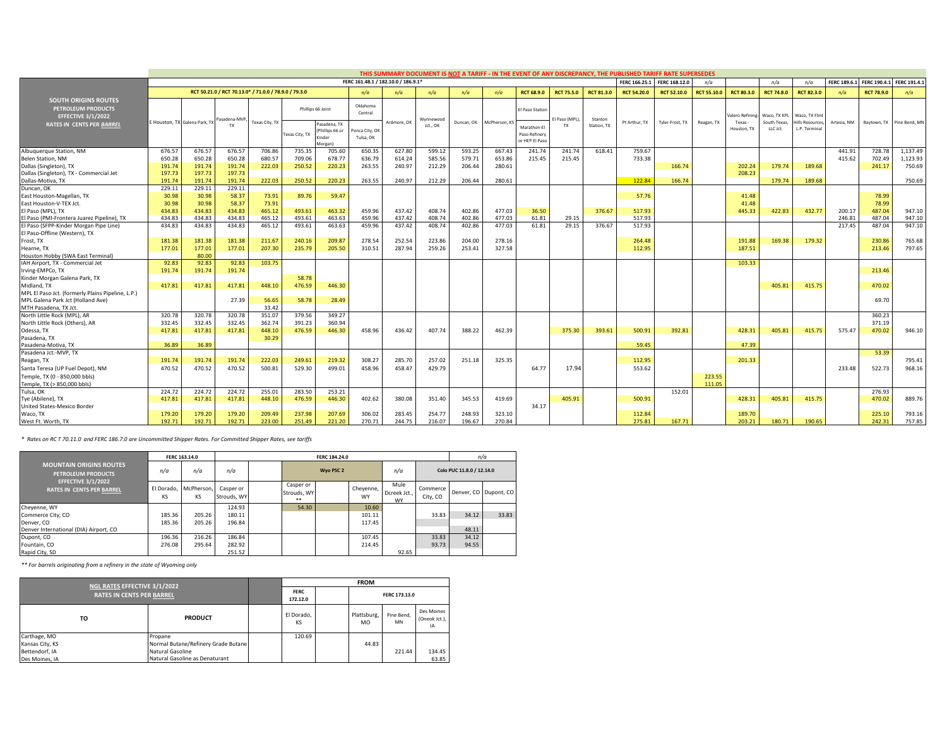|                                                                                       | THIS SUMMARY DOCUMENT IS NOT A TARIFF - IN THE EVENT OF ANY DISCREPANCY, THE PUBLISHED TARIFF RATE SUPERSEDES<br>FERC 161.48.1 / 182.10.0 / 186.9.1* |                               |                                                       |                |                |                                                 |                            |             |           |            |               |                                                |                   |             |                    |                    |                    |                       |                            |                                         |                    |                          |                           |
|---------------------------------------------------------------------------------------|------------------------------------------------------------------------------------------------------------------------------------------------------|-------------------------------|-------------------------------------------------------|----------------|----------------|-------------------------------------------------|----------------------------|-------------|-----------|------------|---------------|------------------------------------------------|-------------------|-------------|--------------------|--------------------|--------------------|-----------------------|----------------------------|-----------------------------------------|--------------------|--------------------------|---------------------------|
|                                                                                       |                                                                                                                                                      |                               |                                                       |                |                |                                                 |                            |             |           |            |               |                                                |                   |             | FERC 166.25.1      | FERC 168.12.0      | n/a                |                       | n/a                        | n/a                                     | <b>FERC 189.6.</b> | FERC 190.4.1 FERC 191.4. |                           |
|                                                                                       |                                                                                                                                                      |                               | RCT 50.21.0 / RCT 70.13.0* / 71.0.0 / 78.9.0 / 79.3.0 |                |                |                                                 | n/a                        | n/a         | n/a       | n/a        | n/a           | <b>RCT 68.9.0</b>                              | <b>RCT 75.5.0</b> | RCT 81.3.0  | <b>RCT 54.20.0</b> | <b>RCT 52.10.0</b> | <b>RCT 55.10.0</b> | <b>RCT 80.3.0</b>     | <b>RCT 74.8.0</b>          | <b>RCT 82.3.0</b>                       | n/a                | <b>RCT 78.9.0</b>        | n/a                       |
| <b>SOUTH ORIGINS ROUTES</b><br><b>PETROLEUM PRODUCTS</b><br><b>EFFECTIVE 3/1/2022</b> |                                                                                                                                                      | E Houston, TX Galena Park, TX | asadena-M\                                            | Texas City, TX |                | Phillips 66 Joint                               | Oklahoma<br>Central        | Ardmore, OK | Wynnewood | Duncan, OK | McPherson, KS | El Paso Station                                | El Paso (MPL)     | Stanton     | Pt Arthur, TX      | Tyler-Frost, TX    | Reagan, TX         | alero Refini<br>Texas | Waco, TX KP<br>South Texas | Waco, TX Flin<br><b>Hills Resources</b> | Artesia, NM        |                          | Baytown, TX Pine Bend, MN |
| <b>RATES IN CENTS PER BARREL</b>                                                      |                                                                                                                                                      |                               | TY                                                    |                | Fexas City, TX | asadena, TX<br>hillips 66 or<br>inder<br>(organ | onca City, OI<br>Tulsa, OK |             | Jct., OK  |            |               | Marathon-El<br>Paso Refinery<br>or HEP El Paso | <b>TX</b>         | Station, TX |                    |                    |                    | Houston, T)           | LLC Jct.                   | L.P. Terminal                           |                    |                          |                           |
| Albuquerque Station, NM                                                               | 676.57                                                                                                                                               | 676.57                        | 676.57                                                | 706.86         | 735.35         | 705.60                                          | 650.35                     | 627.80      | 599.12    | 593.25     | 667.43        | 241.74                                         | 241.74            | 618.41      | 759.67             |                    |                    |                       |                            |                                         | 441.91             | 728.78                   | 1,137.49                  |
| Belen Station, NM                                                                     | 650.28                                                                                                                                               | 650.28                        | 650.28                                                | 680.57         | 709.06         | 678.77                                          | 636.79                     | 614.24      | 585.56    | 579.71     | 653.86        | 215.45                                         | 215.45            |             | 733.38             |                    |                    |                       |                            |                                         | 415.62             | 702.49                   | 1,123.93                  |
| Dallas (Singleton), TX                                                                | 191.74<br>197.73                                                                                                                                     | 191.74<br>197.73              | 191.74<br>197.73                                      | 222.03         | 250.52         | 220.23                                          | 263.55                     | 240.97      | 212.29    | 206.44     | 280.61        |                                                |                   |             |                    | 166.74             |                    | 202.2<br>208.23       | 179.74                     | 189.68                                  |                    | 241.17                   | 750.69                    |
| Dallas (Singleton), TX - Commercial Jet<br>Dallas-Motiva, TX                          | 191.74                                                                                                                                               | 191.74                        | 191.74                                                | 222.03         | 250.52         | 220.23                                          | 263.55                     | 240.97      | 212.29    | 206.44     | 280.61        |                                                |                   |             | 122.84             | 166.74             |                    |                       | 179.74                     | 189.68                                  |                    |                          | 750.69                    |
| Duncan, OK                                                                            | 229.11                                                                                                                                               | 229.11                        | 229.11                                                |                |                |                                                 |                            |             |           |            |               |                                                |                   |             |                    |                    |                    |                       |                            |                                         |                    |                          |                           |
| East Houston-Magellan, TX                                                             | 30.98                                                                                                                                                | 30.98                         | 58.37                                                 | 73.91          | 89.76          | 59.47                                           |                            |             |           |            |               |                                                |                   |             | 57.76              |                    |                    | 41.48                 |                            |                                         |                    | 78.99                    |                           |
| East Houston-V-TEX Jct.                                                               | 30.98                                                                                                                                                | 30.98                         | 58.37                                                 | 73.91          |                |                                                 |                            |             |           |            |               |                                                |                   |             |                    |                    |                    | 41.48                 |                            |                                         |                    | 78.99                    |                           |
| El Paso (MPL), TX                                                                     | 434.83                                                                                                                                               | 434.83                        | 434.83                                                | 465.12         | 493.61         | 463.32                                          | 459.96                     | 437.42      | 408.74    | 402.86     | 477.03        | 36.50                                          |                   | 376.67      | 517.93             |                    |                    | 445.33                | 422.83                     | 432.77                                  | 200.17             | 487.04                   | 947.10                    |
| El Paso (PMI-Frontera Juarez Pipeline), TX                                            | 434.83                                                                                                                                               | 434.83                        | 434.83                                                | 465.12         | 493.61         | 463.63                                          | 459.96                     | 437.42      | 408.74    | 402.86     | 477.03        | 61.81                                          | 29.15             |             | 517.93             |                    |                    |                       |                            |                                         | 246.81             | 487.04                   | 947.10                    |
| El Paso (SFPP-Kinder Morgan Pipe Line)                                                | 434.83                                                                                                                                               | 434.83                        | 434.83                                                | 465.12         | 493.61         | 463.63                                          | 459.96                     | 437.42      | 408.74    | 402.86     | 477.03        | 61.81                                          | 29.15             | 376.67      | 517.93             |                    |                    |                       |                            |                                         | 217.45             | 487.04                   | 947.10                    |
| El Paso-Offline (Western), TX                                                         |                                                                                                                                                      |                               |                                                       |                |                |                                                 |                            |             |           |            |               |                                                |                   |             |                    |                    |                    |                       |                            |                                         |                    |                          |                           |
| Frost, TX                                                                             | 181.38                                                                                                                                               | 181.38                        | 181.38                                                | 211.67         | 240.16         | 209.87                                          | 278.54                     | 252.54      | 223.86    | 204.00     | 278.16        |                                                |                   |             | 264.48             |                    |                    | 191.88                | 169.38                     | 179.32                                  |                    | 230.86                   | 765.68                    |
| Hearne, TX                                                                            | 177.01                                                                                                                                               | 177.01                        | 177.01                                                | 207.30         | 235.79         | 205.50                                          | 310.51                     | 287.94      | 259.26    | 253.41     | 327.58        |                                                |                   |             | 112.95             |                    |                    | 187.51                |                            |                                         |                    | 213.46                   | 797.65                    |
| Houston Hobby (SWA East Terminal)<br>IAH Airport, TX - Commercial Jet                 | 92.83                                                                                                                                                | 80.00<br>92.83                | 92.83                                                 | 103.75         |                |                                                 |                            |             |           |            |               |                                                |                   |             |                    |                    |                    | 103.33                |                            |                                         |                    |                          |                           |
| Irving-EMPCo, TX                                                                      | 191.74                                                                                                                                               | 191.74                        | 191.74                                                |                |                |                                                 |                            |             |           |            |               |                                                |                   |             |                    |                    |                    |                       |                            |                                         |                    | 213.46                   |                           |
| Kinder Morgan Galena Park, TX                                                         |                                                                                                                                                      |                               |                                                       |                | 58.78          |                                                 |                            |             |           |            |               |                                                |                   |             |                    |                    |                    |                       |                            |                                         |                    |                          |                           |
| Midland, TX                                                                           | 417.81                                                                                                                                               | 417.81                        | 417.81                                                | 448.10         | 476.59         | 446.30                                          |                            |             |           |            |               |                                                |                   |             |                    |                    |                    |                       | 405.83                     | 415.75                                  |                    | 470.02                   |                           |
| MPL El Paso Jct. (formerly Plains Pipeline, L.P.)                                     |                                                                                                                                                      |                               |                                                       |                |                |                                                 |                            |             |           |            |               |                                                |                   |             |                    |                    |                    |                       |                            |                                         |                    |                          |                           |
| MPL Galena Park Jct (Holland Ave)                                                     |                                                                                                                                                      |                               | 27.39                                                 | 56.65          | 58.78          | 28.49                                           |                            |             |           |            |               |                                                |                   |             |                    |                    |                    |                       |                            |                                         |                    | 69.70                    |                           |
| MTH Pasadena, TX Jct                                                                  |                                                                                                                                                      |                               |                                                       | 33.42          |                |                                                 |                            |             |           |            |               |                                                |                   |             |                    |                    |                    |                       |                            |                                         |                    |                          |                           |
| North Little Rock (MPL), AR                                                           | 320.78                                                                                                                                               | 320.78                        | 320.78                                                | 351.07         | 379.56         | 349.27                                          |                            |             |           |            |               |                                                |                   |             |                    |                    |                    |                       |                            |                                         |                    | 360.23                   |                           |
| North Little Rock (Others), AR                                                        | 332.45                                                                                                                                               | 332.45                        | 332.45                                                | 362.74         | 391.23         | 360.94                                          |                            |             |           |            |               |                                                |                   |             |                    |                    |                    |                       |                            |                                         |                    | 371.19                   |                           |
| Odessa, TX                                                                            | 417.81                                                                                                                                               | 417.81                        | 417.81                                                | 448.10         | 476.59         | 446.30                                          | 458.96                     | 436.42      | 407.74    | 388.22     | 462.39        |                                                | 375.30            | 393.61      | 500.91             | 392.81             |                    | 428.3                 | 405.81                     | 415.75                                  | 575.47             | 470.02                   | 946.10                    |
| Pasadena, TX                                                                          |                                                                                                                                                      |                               |                                                       | 30.29          |                |                                                 |                            |             |           |            |               |                                                |                   |             | 59.45              |                    |                    |                       |                            |                                         |                    |                          |                           |
| Pasadena-Motiva, TX<br>Pasadena Jct.-MVP. TX                                          | 36.89                                                                                                                                                | 36.89                         |                                                       |                |                |                                                 |                            |             |           |            |               |                                                |                   |             |                    |                    |                    | 47.39                 |                            |                                         |                    | 53.39                    |                           |
| Reagan, TX                                                                            | 191.74                                                                                                                                               | 191.74                        | 191.74                                                | 222.03         | 249.61         | 219.32                                          | 308.27                     | 285.70      | 257.02    | 251.18     | 325.35        |                                                |                   |             | 112.95             |                    |                    | 201.33                |                            |                                         |                    |                          | 795.41                    |
| Santa Teresa (UP Fuel Depot), NM                                                      | 470.52                                                                                                                                               | 470.52                        | 470.52                                                | 500.81         | 529.30         | 499.01                                          | 458.96                     | 458.47      | 429.79    |            |               | 64.77                                          | 17.94             |             | 553.62             |                    |                    |                       |                            |                                         | 233.48             | 522.73                   | 968.16                    |
| Temple, TX (0 - 850,000 bbls)                                                         |                                                                                                                                                      |                               |                                                       |                |                |                                                 |                            |             |           |            |               |                                                |                   |             |                    |                    | 223.55             |                       |                            |                                         |                    |                          |                           |
| Temple, TX (> 850,000 bbls)                                                           |                                                                                                                                                      |                               |                                                       |                |                |                                                 |                            |             |           |            |               |                                                |                   |             |                    |                    | 111.05             |                       |                            |                                         |                    |                          |                           |
| Tulsa, OK                                                                             | 224.72                                                                                                                                               | 224.72                        | 224.72                                                | 255.01         | 283.50         | 253.21                                          |                            |             |           |            |               |                                                |                   |             |                    | 152.01             |                    |                       |                            |                                         |                    | 276.93                   |                           |
| Tye (Abilene), TX                                                                     | 417.81                                                                                                                                               | 417.81                        | 417.81                                                | 448.10         | 476.59         | 446.30                                          | 402.62                     | 380.08      | 351.40    | 345.53     | 419.69        |                                                | 405.91            |             | 500.91             |                    |                    | 428.31                | 405.81                     | 415.75                                  |                    | 470.02                   | 889.76                    |
| United States-Mexico Border                                                           |                                                                                                                                                      |                               |                                                       |                |                |                                                 |                            |             |           |            |               | 34.17                                          |                   |             |                    |                    |                    |                       |                            |                                         |                    |                          |                           |
| Waco, TX                                                                              | 179.20                                                                                                                                               | 179.20                        | 179.20                                                | 209.49         | 237.98         | 207.69                                          | 306.02                     | 283.45      | 254.77    | 248.93     | 323.10        |                                                |                   |             | 112.84             |                    |                    | 189.7                 |                            |                                         |                    | 225.10                   | 793.16                    |
| West Ft. Worth, TX                                                                    | 192.71                                                                                                                                               | 192.71                        | 192.71                                                | 223.00         | 251.49         | 221.20                                          | 270.71                     | 244.75      | 216.07    | 196.67     | 270.84        |                                                |                   |             | 275.81             | 167.71             |                    | 203.21                | 180.71                     | 190.65                                  |                    | 242.31                   | 757.85                    |

*\* Rates on RC T 70.11.0 and FERC 186.7.0 are Uncommitted Shipper Rates. For Committed Shipper Rates, see tariffs*

|                                                               |                  | FERC 163.14.0    |                          |                                | FERC 184.24.0 |                        |                                   |                      | n/a                       |                       |
|---------------------------------------------------------------|------------------|------------------|--------------------------|--------------------------------|---------------|------------------------|-----------------------------------|----------------------|---------------------------|-----------------------|
| <b>MOUNTAIN ORIGINS ROUTES</b><br><b>PETROLEUM PRODUCTS</b>   | n/a              | n/a              | n/a                      |                                | Wyo PSC 2     |                        | n/a                               |                      | Colo PUC 11.8.0 / 12.14.0 |                       |
| <b>EFFECTIVE 3/1/2022</b><br><b>RATES IN CENTS PER BARREL</b> | El Dorado.<br>KS | McPherson.<br>KS | Casper or<br>Strouds, WY | Casper or<br>Strouds, WY<br>** |               | Cheyenne,<br><b>WY</b> | Mule<br>Dcreek Jct.,<br><b>WY</b> | Commerce<br>City, CO |                           | Denver, CO Dupont, CO |
| Cheyenne, WY                                                  |                  |                  | 124.93                   | 54.30                          |               | 10.60                  |                                   |                      |                           |                       |
| Commerce City, CO                                             | 185.36           | 205.26           | 180.11                   |                                |               | 101.11                 |                                   | 33.83                | 34.12                     | 33.83                 |
| Denver, CO                                                    | 185.36           | 205.26           | 196.84                   |                                |               | 117.45                 |                                   |                      |                           |                       |
| Denver International (DIA) Airport, CO                        |                  |                  |                          |                                |               |                        |                                   |                      | 48.11                     |                       |
| Dupont, CO                                                    | 196.36           | 216.26           | 186.84                   |                                |               | 107.45                 |                                   | 33.83                | 34.12                     |                       |
| Fountain, CO                                                  | 276.08           | 295.64           | 282.92                   |                                |               | 214.45                 |                                   | 93.73                | 94.55                     |                       |
| Rapid City, SD                                                |                  |                  | 251.52                   |                                |               |                        | 92.65                             |                      |                           |                       |

*\*\* For barrels originating from a refinery in the state of Wyoming only*

| NGL RATES EFFECTIVE 3/1/2022     |                                                |                         | <b>FROM</b>              |                  |                                   |
|----------------------------------|------------------------------------------------|-------------------------|--------------------------|------------------|-----------------------------------|
| <b>RATES IN CENTS PER BARREL</b> |                                                | <b>FERC</b><br>172.12.0 |                          | FERC 173.13.0    |                                   |
| то                               | <b>PRODUCT</b>                                 | El Dorado.<br>KS        | Plattsburg,<br><b>MO</b> | Pine Bend,<br>MN | Des Moines<br>(Oneok Jct.),<br>IA |
| Carthage, MO<br>Kansas City, KS  | Propane<br>Normal Butane/Refinery Grade Butane | 120.69                  | 44.83                    |                  |                                   |
| Bettendorf, IA                   | Natural Gasoline                               |                         |                          | 221.44           | 134.45                            |
| Des Moines, IA                   | Natural Gasoline as Denaturant                 |                         |                          |                  | 63.85                             |